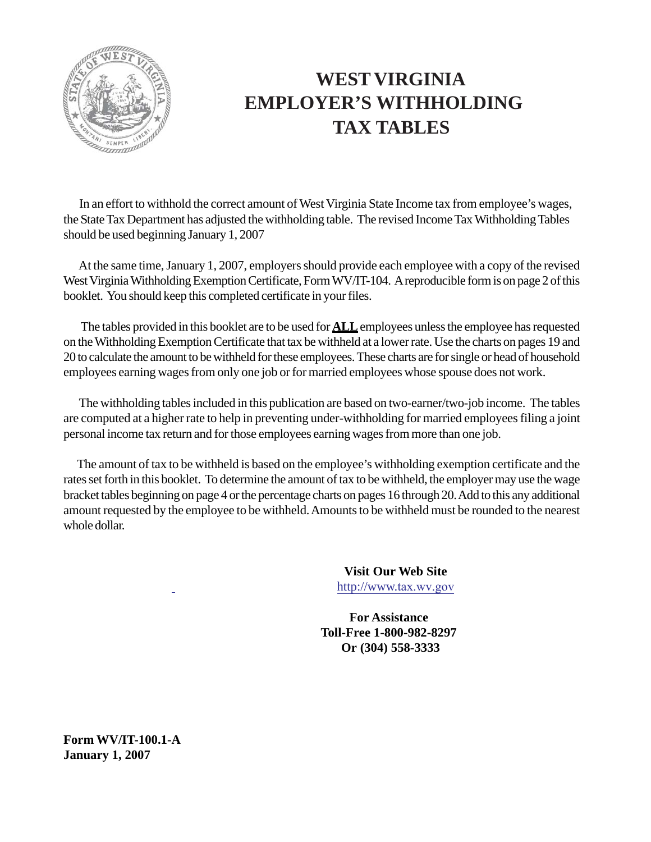

## **WEST VIRGINIA EMPLOYER'S WITHHOLDING TAX TABLES**

 In an effort to withhold the correct amount of West Virginia State Income tax from employee's wages, the State Tax Department has adjusted the withholding table. The revised Income Tax Withholding Tables should be used beginning January 1, 2007

 At the same time, January 1, 2007, employers should provide each employee with a copy of the revised West Virginia Withholding Exemption Certificate, Form WV/IT-104. A reproducible form is on page 2 of this booklet. You should keep this completed certificate in your files.

 The tables provided in this booklet are to be used for **ALL** employees unless the employee has requested on the Withholding Exemption Certificate that tax be withheld at a lower rate. Use the charts on pages 19 and 20 to calculate the amount to be withheld for these employees. These charts are for single or head of household employees earning wages from only one job or for married employees whose spouse does not work.

 The withholding tables included in this publication are based on two-earner/two-job income. The tables are computed at a higher rate to help in preventing under-withholding for married employees filing a joint personal income tax return and for those employees earning wages from more than one job.

 The amount of tax to be withheld is based on the employee's withholding exemption certificate and the rates set forth in this booklet. To determine the amount of tax to be withheld, the employer may use the wage bracket tables beginning on page 4 or the percentage charts on pages 16 through 20. Add to this any additional amount requested by the employee to be withheld. Amounts to be withheld must be rounded to the nearest whole dollar.

> **Visit Our Web Site** http://www.tax.wv.gov

**For Assistance Toll-Free 1-800-982-8297 Or (304) 558-3333**

**Form WV/IT-100.1-A January 1, 2007**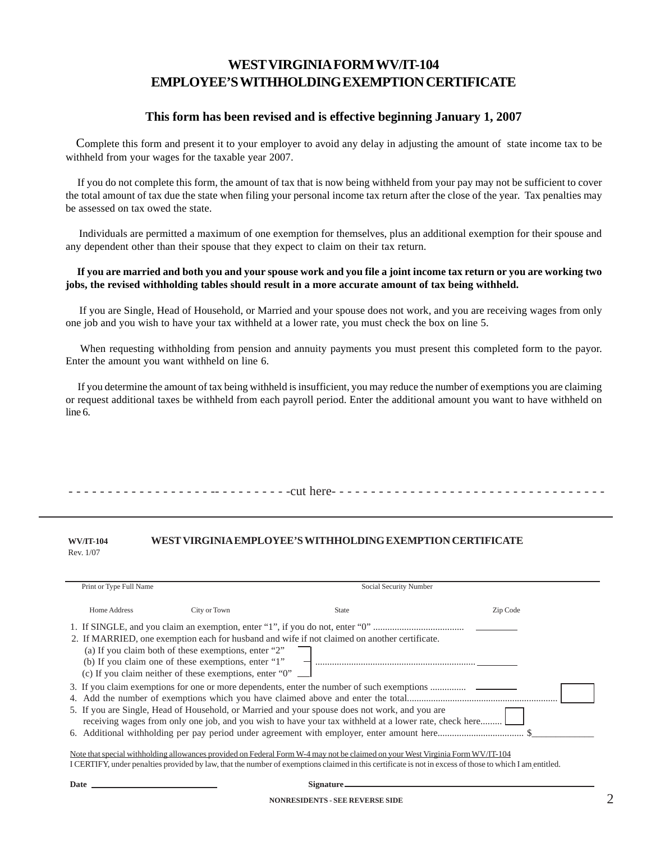### **WEST VIRGINIA FORM WV/IT-104 EMPLOYEE'S WITHHOLDING EXEMPTION CERTIFICATE**

### **This form has been revised and is effective beginning January 1, 2007**

 Complete this form and present it to your employer to avoid any delay in adjusting the amount of state income tax to be withheld from your wages for the taxable year 2007.

 If you do not complete this form, the amount of tax that is now being withheld from your pay may not be sufficient to cover the total amount of tax due the state when filing your personal income tax return after the close of the year. Tax penalties may be assessed on tax owed the state.

 Individuals are permitted a maximum of one exemption for themselves, plus an additional exemption for their spouse and any dependent other than their spouse that they expect to claim on their tax return.

#### **If you are married and both you and your spouse work and you file a joint income tax return or you are working two jobs, the revised withholding tables should result in a more accurate amount of tax being withheld.**

If you are Single, Head of Household, or Married and your spouse does not work, and you are receiving wages from only one job and you wish to have your tax withheld at a lower rate, you must check the box on line 5.

 When requesting withholding from pension and annuity payments you must present this completed form to the payor. Enter the amount you want withheld on line 6.

 If you determine the amount of tax being withheld is insufficient, you may reduce the number of exemptions you are claiming or request additional taxes be withheld from each payroll period. Enter the additional amount you want to have withheld on line 6.

- - - - - - - - - - - - - - - - - - -- - - - - - - - - -cut here- - - - - - - - - - - - - - - - - - - - - - - - - - - - - - - - - - -

#### **WV/IT-104 WEST VIRGINIA EMPLOYEE'S WITHHOLDING EXEMPTION CERTIFICATE** Rev. 1/07

| Print or Type Full Name                                                                                                                                                                                                                |                                                                                                                                                                                            | Social Security Number                                                                                                                                                                                                                                                                                |          |
|----------------------------------------------------------------------------------------------------------------------------------------------------------------------------------------------------------------------------------------|--------------------------------------------------------------------------------------------------------------------------------------------------------------------------------------------|-------------------------------------------------------------------------------------------------------------------------------------------------------------------------------------------------------------------------------------------------------------------------------------------------------|----------|
| Home Address                                                                                                                                                                                                                           | City or Town                                                                                                                                                                               | State                                                                                                                                                                                                                                                                                                 | Zip Code |
|                                                                                                                                                                                                                                        |                                                                                                                                                                                            |                                                                                                                                                                                                                                                                                                       |          |
|                                                                                                                                                                                                                                        | (a) If you claim both of these exemptions, enter "2"<br>(b) If you claim one of these exemptions, enter "1"<br>(c) If you claim neither of these exemptions, enter " $0$ " $\qquad \qquad$ | 2. If MARRIED, one exemption each for husband and wife if not claimed on another certificate.                                                                                                                                                                                                         |          |
|                                                                                                                                                                                                                                        |                                                                                                                                                                                            | 3. If you claim exemptions for one or more dependents, enter the number of such exemptions<br>5. If you are Single, Head of Household, or Married and your spouse does not work, and you are<br>receiving wages from only one job, and you wish to have your tax withheld at a lower rate, check here |          |
| $\mathbf{A} \mathbf{A}$ , and a set of the state of the state of the state of the state of the state of the state of the state of the state of the state of the state of the state of the state of the state of the state of the state |                                                                                                                                                                                            | $\mathcal{L}$ , and the state $\mathcal{L}$ , and the state $\mathcal{L}$ , and the state $\mathcal{L}$                                                                                                                                                                                               |          |

Note that special withholding allowances provided on Federal Form W-4 may not be claimed on your West Virginia Form WV/IT-104 I CERTIFY, under penalties provided by law, that the number of exemptions claimed in this certificate is not in excess of those to which I am entitled.

Date Signature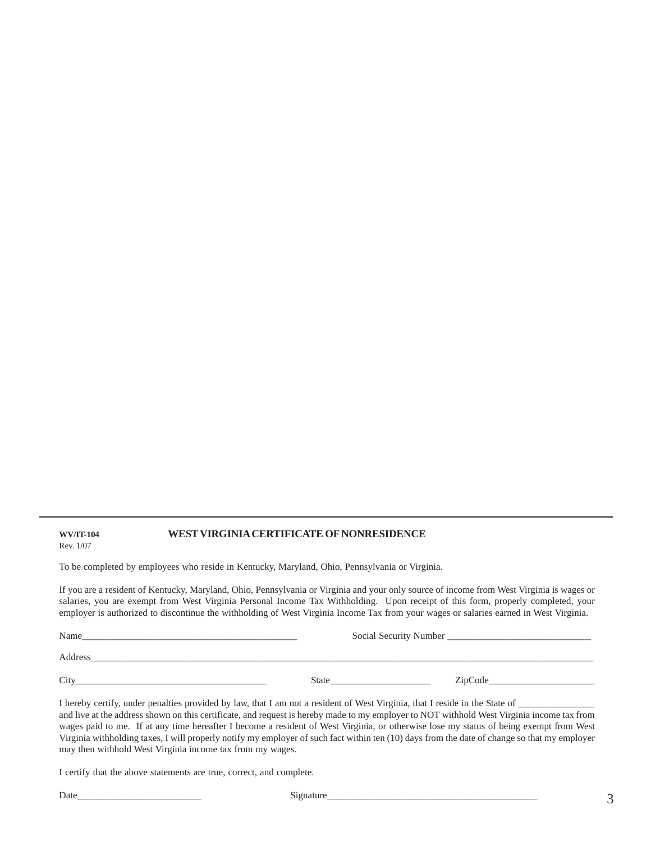#### **WV/IT-104 WEST VIRGINIA CERTIFICATE OF NONRESIDENCE** Rev. 1/07

To be completed by employees who reside in Kentucky, Maryland, Ohio, Pennsylvania or Virginia.

If you are a resident of Kentucky, Maryland, Ohio, Pennsylvania or Virginia and your only source of income from West Virginia is wages or salaries, you are exempt from West Virginia Personal Income Tax Withholding. Upon receipt of this form, properly completed, your employer is authorized to discontinue the withholding of West Virginia Income Tax from your wages or salaries earned in West Virginia.

| Name    | Social Security Number |         |
|---------|------------------------|---------|
| Address |                        |         |
| City    | <b>State</b>           | ZipCode |

I hereby certify, under penalties provided by law, that I am not a resident of West Virginia, that I reside in the State of and live at the address shown on this certificate, and request is hereby made to my employer to NOT withhold West Virginia income tax from wages paid to me. If at any time hereafter I become a resident of West Virginia, or otherwise lose my status of being exempt from West Virginia withholding taxes, I will properly notify my employer of such fact within ten (10) days from the date of change so that my employer may then withhold West Virginia income tax from my wages.

I certify that the above statements are true, correct, and complete.

Date\_\_\_\_\_\_\_\_\_\_\_\_\_\_\_\_\_\_\_\_\_\_\_\_\_\_ Signature\_\_\_\_\_\_\_\_\_\_\_\_\_\_\_\_\_\_\_\_\_\_\_\_\_\_\_\_\_\_\_\_\_\_\_\_\_\_\_\_\_\_\_\_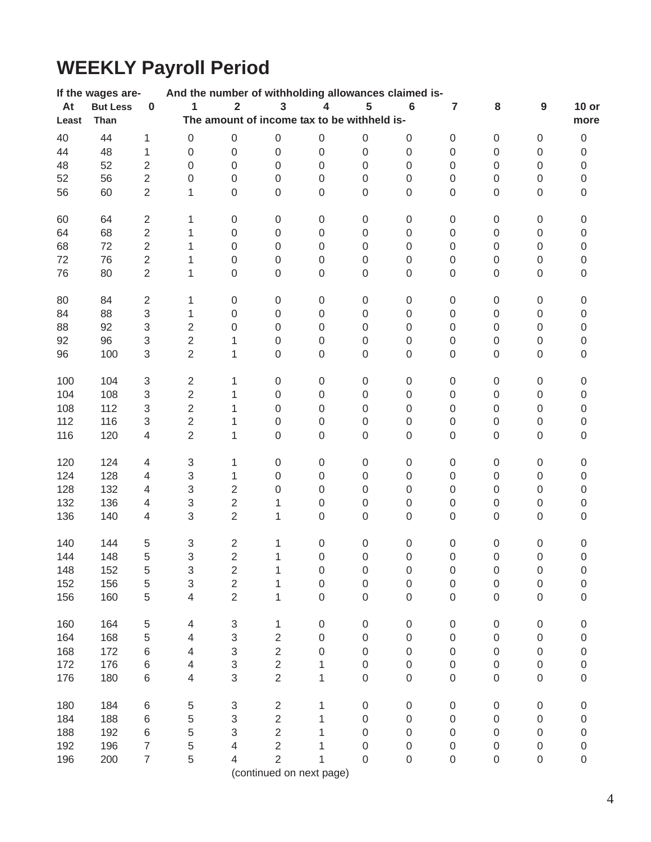# **WEEKLY Payroll Period**

|       | If the wages are- |                           | And the number of withholding allowances claimed is- |                         |                                             |                  |                  |                     |                  |                  |                     |                  |
|-------|-------------------|---------------------------|------------------------------------------------------|-------------------------|---------------------------------------------|------------------|------------------|---------------------|------------------|------------------|---------------------|------------------|
| At    | <b>But Less</b>   | $\pmb{0}$                 | $\mathbf{1}$                                         | $\overline{\mathbf{2}}$ | $\overline{\mathbf{3}}$                     | 4                | 5                | $\bf 6$             | $\overline{7}$   | 8                | 9                   | $10$ or          |
| Least | Than              |                           |                                                      |                         | The amount of income tax to be withheld is- |                  |                  |                     |                  |                  |                     | more             |
| 40    | 44                | 1                         | $\boldsymbol{0}$                                     | $\boldsymbol{0}$        | $\boldsymbol{0}$                            | $\boldsymbol{0}$ | $\boldsymbol{0}$ | $\boldsymbol{0}$    | $\boldsymbol{0}$ | $\,0\,$          | $\boldsymbol{0}$    | $\boldsymbol{0}$ |
| 44    | 48                | 1                         | $\boldsymbol{0}$                                     | $\boldsymbol{0}$        | $\boldsymbol{0}$                            | $\mathbf 0$      | $\mathbf 0$      | $\mbox{O}$          | $\boldsymbol{0}$ | 0                | $\mathsf{O}\xspace$ | $\boldsymbol{0}$ |
| 48    | 52                | $\overline{2}$            | $\mathbf 0$                                          | $\boldsymbol{0}$        | $\boldsymbol{0}$                            | $\mathbf 0$      | $\boldsymbol{0}$ | $\mathbf 0$         | 0                | 0                | $\boldsymbol{0}$    | $\boldsymbol{0}$ |
| 52    | 56                | $\overline{c}$            | 0                                                    | $\mathbf 0$             | $\mathbf 0$                                 | $\mathbf 0$      | $\boldsymbol{0}$ | $\boldsymbol{0}$    | 0                | 0                | $\mathsf 0$         | $\mathsf 0$      |
| 56    | 60                | $\overline{2}$            | 1                                                    | $\mathbf 0$             | $\mathbf 0$                                 | $\mathbf 0$      | $\overline{0}$   | $\mathbf 0$         | 0                | $\mathsf 0$      | $\mathsf 0$         | 0                |
|       |                   |                           |                                                      |                         |                                             |                  |                  |                     |                  |                  |                     |                  |
| 60    | 64                | $\overline{2}$            | 1                                                    | $\boldsymbol{0}$        | $\boldsymbol{0}$                            | $\,0\,$          | $\boldsymbol{0}$ | $\boldsymbol{0}$    | $\,0\,$          | $\,0\,$          | $\boldsymbol{0}$    | $\mathbf 0$      |
| 64    | 68                | $\overline{c}$            | 1                                                    | 0                       | $\mathbf 0$                                 | $\boldsymbol{0}$ | $\boldsymbol{0}$ | $\boldsymbol{0}$    | 0                | 0                | $\mathsf 0$         | $\mathsf 0$      |
| 68    | 72                | $\overline{c}$            | 1                                                    | $\mathbf 0$             | 0                                           | $\mathbf 0$      | $\overline{0}$   | $\boldsymbol{0}$    | 0                | 0                | $\mathsf 0$         | 0                |
| 72    | 76                | $\overline{c}$            | 1                                                    | $\boldsymbol{0}$        | $\boldsymbol{0}$                            | $\boldsymbol{0}$ | $\boldsymbol{0}$ | $\boldsymbol{0}$    | 0                | 0                | $\boldsymbol{0}$    | 0                |
| 76    | 80                | $\overline{2}$            | 1                                                    | $\boldsymbol{0}$        | $\boldsymbol{0}$                            | $\boldsymbol{0}$ | $\boldsymbol{0}$ | $\boldsymbol{0}$    | $\boldsymbol{0}$ | $\boldsymbol{0}$ | $\mathsf{O}\xspace$ | $\mathbf 0$      |
|       |                   |                           |                                                      |                         |                                             |                  |                  |                     |                  |                  |                     |                  |
| 80    | 84                | $\sqrt{2}$                | 1                                                    | $\boldsymbol{0}$        | $\boldsymbol{0}$                            | $\,0\,$          | $\boldsymbol{0}$ | $\boldsymbol{0}$    | $\boldsymbol{0}$ | $\boldsymbol{0}$ | $\mathsf 0$         | 0                |
| 84    | 88                | 3                         | 1                                                    | $\mathbf 0$             | $\mathbf 0$                                 | $\boldsymbol{0}$ | $\boldsymbol{0}$ | $\boldsymbol{0}$    | 0                | 0                | $\mathsf 0$         | 0                |
| 88    | 92                | 3                         | $\overline{2}$                                       | $\mathbf 0$             | $\mathbf 0$                                 | $\mathbf 0$      | $\mathbf 0$      | $\boldsymbol{0}$    | 0                | 0                | $\mathsf 0$         | $\mathsf 0$      |
| 92    | 96                | 3                         | $\overline{2}$                                       | 1                       | $\mathbf 0$                                 | 0                | $\mathbf 0$      | $\mathbf 0$         | 0                | 0                | $\boldsymbol{0}$    | $\mathsf 0$      |
| 96    | 100               | 3                         | $\overline{2}$                                       | 1                       | $\boldsymbol{0}$                            | $\mathbf 0$      | $\boldsymbol{0}$ | $\mathbf 0$         | 0                | 0                | $\mathsf{O}\xspace$ | $\mathbf 0$      |
|       |                   |                           |                                                      |                         |                                             |                  |                  |                     |                  |                  |                     |                  |
| 100   | 104               | $\ensuremath{\mathsf{3}}$ | $\overline{2}$                                       | 1                       | $\boldsymbol{0}$                            | $\,0\,$          | $\boldsymbol{0}$ | $\boldsymbol{0}$    | $\boldsymbol{0}$ | $\,0\,$          | $\boldsymbol{0}$    | 0                |
| 104   | 108               | 3                         | $\overline{2}$                                       | 1                       | $\boldsymbol{0}$                            | $\,0\,$          | $\,0\,$          | $\boldsymbol{0}$    | $\,0\,$          | $\,0\,$          | $\boldsymbol{0}$    | $\mbox{O}$       |
| 108   | 112               | 3                         | $\overline{c}$                                       | 1                       | $\mathbf 0$                                 | $\mathbf 0$      | $\mathbf 0$      | $\boldsymbol{0}$    | 0                | 0                | $\mathsf 0$         | $\mathsf 0$      |
| 112   | 116               | 3                         | $\overline{c}$                                       | 1                       | $\mathbf 0$                                 | $\boldsymbol{0}$ | $\boldsymbol{0}$ | $\boldsymbol{0}$    | 0                | 0                | $\mathsf 0$         | 0                |
| 116   | 120               | $\overline{4}$            | $\overline{2}$                                       | 1                       | $\mathbf 0$                                 | $\boldsymbol{0}$ | $\boldsymbol{0}$ | $\mathbf 0$         | $\boldsymbol{0}$ | $\mathbf 0$      | $\mathsf 0$         | 0                |
|       |                   |                           |                                                      |                         |                                             |                  |                  |                     |                  |                  |                     |                  |
| 120   | 124               | 4                         | $\ensuremath{\mathsf{3}}$                            | 1                       | $\boldsymbol{0}$                            | $\boldsymbol{0}$ | $\boldsymbol{0}$ | $\boldsymbol{0}$    | $\boldsymbol{0}$ | $\boldsymbol{0}$ | $\boldsymbol{0}$    | $\mbox{O}$       |
| 124   | 128               | 4                         | $\ensuremath{\mathsf{3}}$                            | 1                       | $\mathbf 0$                                 | $\boldsymbol{0}$ | $\boldsymbol{0}$ | $\boldsymbol{0}$    | 0                | 0                | $\mathsf 0$         | $\mathsf 0$      |
| 128   | 132               | $\overline{\mathbf{4}}$   | $\ensuremath{\mathsf{3}}$                            | $\overline{c}$          | 0                                           | $\boldsymbol{0}$ | $\boldsymbol{0}$ | $\boldsymbol{0}$    | 0                | 0                | $\mathsf 0$         | 0                |
| 132   | 136               | $\overline{4}$            | $\ensuremath{\mathsf{3}}$                            | $\overline{2}$          | 1                                           | $\boldsymbol{0}$ | $\boldsymbol{0}$ | $\boldsymbol{0}$    | 0                | 0                | $\mathsf 0$         | 0                |
| 136   | 140               | $\overline{\mathbf{4}}$   | 3                                                    | $\overline{2}$          | 1                                           | $\mathbf 0$      | $\boldsymbol{0}$ | $\mathbf 0$         | $\boldsymbol{0}$ | $\boldsymbol{0}$ | $\mathsf{O}\xspace$ | $\mathbf 0$      |
|       |                   |                           |                                                      |                         |                                             |                  |                  |                     |                  |                  |                     |                  |
| 140   | 144               | 5                         | $\ensuremath{\mathsf{3}}$                            | $\overline{2}$          | 1                                           | $\boldsymbol{0}$ | $\boldsymbol{0}$ | $\boldsymbol{0}$    | $\boldsymbol{0}$ | $\boldsymbol{0}$ | 0                   | 0                |
| 144   | 148               | 5                         | 3                                                    | $\overline{2}$          | 1                                           | $\boldsymbol{0}$ | $\boldsymbol{0}$ | $\mathbf 0$         | $\boldsymbol{0}$ | $\boldsymbol{0}$ | $\mathbf 0$         | 0                |
| 148   | 152               | 5                         | 3                                                    | $\overline{\mathbf{c}}$ | 1                                           | $\boldsymbol{0}$ | $\boldsymbol{0}$ | 0                   | $\boldsymbol{0}$ | 0                | $\mathbf 0$         | 0                |
| 152   | 156               | 5                         | 3                                                    | $\overline{c}$          | 1                                           | $\boldsymbol{0}$ | $\boldsymbol{0}$ | 0                   | 0                | 0                | 0                   | 0                |
| 156   | 160               | 5                         | 4                                                    | $\overline{2}$          | 1                                           | $\boldsymbol{0}$ | $\boldsymbol{0}$ | $\mathbf 0$         | 0                | 0                | $\mathbf 0$         | $\mathbf 0$      |
| 160   | 164               | 5                         | 4                                                    | $\sqrt{3}$              | 1                                           | $\boldsymbol{0}$ | $\boldsymbol{0}$ | $\boldsymbol{0}$    | $\boldsymbol{0}$ | $\boldsymbol{0}$ | $\boldsymbol{0}$    | $\mathbf 0$      |
| 164   | 168               | 5                         | 4                                                    | 3                       | $\overline{c}$                              | $\boldsymbol{0}$ | $\boldsymbol{0}$ | $\mathsf{O}\xspace$ | 0                | $\mathbf 0$      | $\boldsymbol{0}$    | 0                |
| 168   | 172               | 6                         | 4                                                    | 3                       | $\overline{c}$                              | $\boldsymbol{0}$ | $\boldsymbol{0}$ | 0                   | 0                | $\mathbf 0$      | 0                   |                  |
| 172   | 176               |                           |                                                      |                         | $\overline{c}$                              |                  | $\boldsymbol{0}$ |                     |                  |                  |                     | 0                |
|       |                   | 6                         | 4                                                    | 3<br>3                  | $\overline{2}$                              | 1                |                  | 0                   | 0                | 0                | $\boldsymbol{0}$    | 0                |
| 176   | 180               | $\,6$                     | 4                                                    |                         |                                             | 1                | $\boldsymbol{0}$ | $\mathbf 0$         | $\boldsymbol{0}$ | $\boldsymbol{0}$ | $\boldsymbol{0}$    | 0                |
| 180   | 184               | $\,6$                     | 5                                                    | 3                       | $\overline{\mathbf{c}}$                     | 1                | $\boldsymbol{0}$ | 0                   | $\mathbf 0$      | $\mathbf 0$      | 0                   | 0                |
| 184   | 188               | 6                         | 5                                                    | 3                       | $\overline{\mathbf{c}}$                     | 1                | $\boldsymbol{0}$ | $\mathsf{O}\xspace$ | 0                | $\mathbf 0$      | $\mathbf 0$         | 0                |
| 188   | 192               | 6                         | 5                                                    | 3                       | $\overline{2}$                              | 1                | $\boldsymbol{0}$ | $\mathbf 0$         | 0                | 0                | $\mathbf 0$         | 0                |
| 192   | 196               | $\overline{\mathcal{I}}$  | 5                                                    | 4                       | $\overline{2}$                              |                  | $\mathbf 0$      | $\mathsf{O}\xspace$ | 0                | 0                | $\boldsymbol{0}$    | 0                |
| 196   | 200               | $\overline{7}$            | 5                                                    | 4                       | $\overline{2}$                              | 1                | $\mathbf 0$      | $\boldsymbol{0}$    | $\mathbf 0$      | $\boldsymbol{0}$ | $\boldsymbol{0}$    | $\mathbf 0$      |
|       |                   |                           |                                                      |                         | (continued on next page)                    |                  |                  |                     |                  |                  |                     |                  |
|       |                   |                           |                                                      |                         |                                             |                  |                  |                     |                  |                  |                     |                  |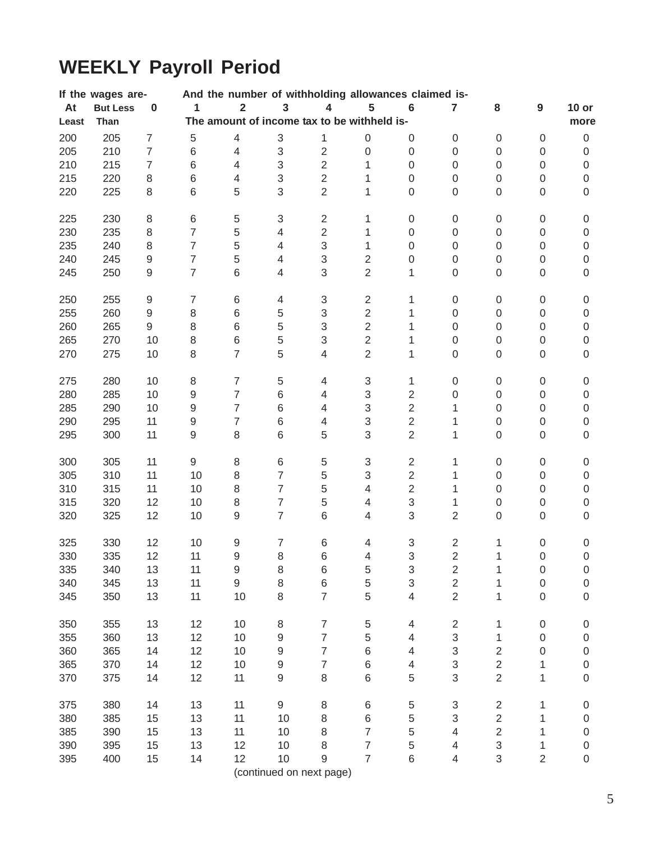# **WEEKLY Payroll Period**

|       | If the wages are- |                          |                  |                                             |                           |                           |                           | And the number of withholding allowances claimed is- |                  |                         |                  |                  |
|-------|-------------------|--------------------------|------------------|---------------------------------------------|---------------------------|---------------------------|---------------------------|------------------------------------------------------|------------------|-------------------------|------------------|------------------|
| At    | <b>But Less</b>   | $\pmb{0}$                | 1                | $\overline{\mathbf{2}}$                     | $\mathbf{3}$              | $\overline{\mathbf{4}}$   | 5                         | $\bf 6$                                              | $\overline{7}$   | 8                       | $\boldsymbol{9}$ | $10$ or          |
| Least | Than              |                          |                  | The amount of income tax to be withheld is- |                           |                           |                           |                                                      |                  |                         |                  | more             |
| 200   | 205               | $\overline{7}$           | $\,$ 5 $\,$      | $\overline{\mathcal{A}}$                    | $\ensuremath{\mathsf{3}}$ | 1                         | 0                         | 0                                                    | 0                | $\boldsymbol{0}$        | $\boldsymbol{0}$ | $\,0\,$          |
| 205   | 210               | $\overline{\mathcal{I}}$ | $\,6$            | $\overline{\mathcal{A}}$                    | $\ensuremath{\mathsf{3}}$ | $\mathbf 2$               | $\boldsymbol{0}$          | $\boldsymbol{0}$                                     | $\boldsymbol{0}$ | 0                       | $\boldsymbol{0}$ | $\boldsymbol{0}$ |
| 210   | 215               | $\overline{\mathcal{I}}$ | $\,6$            | 4                                           | $\ensuremath{\mathsf{3}}$ | $\overline{2}$            | 1                         | $\boldsymbol{0}$                                     | $\boldsymbol{0}$ | 0                       | $\boldsymbol{0}$ | $\boldsymbol{0}$ |
| 215   | 220               | 8                        | 6                | 4                                           | 3                         | $\overline{2}$            | 1                         | $\boldsymbol{0}$                                     | $\boldsymbol{0}$ | $\boldsymbol{0}$        | $\boldsymbol{0}$ | $\,0\,$          |
| 220   | 225               | $\,8\,$                  | $\,6$            | 5                                           | 3                         | $\overline{2}$            | 1                         | 0                                                    | 0                | $\boldsymbol{0}$        | $\boldsymbol{0}$ | $\boldsymbol{0}$ |
|       |                   |                          |                  |                                             |                           |                           |                           |                                                      |                  |                         |                  |                  |
| 225   | 230               | 8                        | 6                | $\,$ 5 $\,$                                 | 3                         | $\overline{2}$            | 1                         | 0                                                    | $\boldsymbol{0}$ | $\boldsymbol{0}$        | $\boldsymbol{0}$ | $\boldsymbol{0}$ |
| 230   | 235               | $\,8\,$                  | $\overline{7}$   | 5                                           | $\overline{4}$            | $\overline{2}$            | 1                         | $\boldsymbol{0}$                                     | $\boldsymbol{0}$ | 0                       | $\mathbf 0$      | $\boldsymbol{0}$ |
| 235   | 240               | $\,8\,$                  | $\overline{7}$   | 5                                           | $\overline{4}$            | $\sqrt{3}$                | 1                         | $\boldsymbol{0}$                                     | $\boldsymbol{0}$ | $\mathsf 0$             | $\boldsymbol{0}$ | $\boldsymbol{0}$ |
| 240   | 245               | $\hbox{9}$               | $\overline{7}$   | 5                                           | $\overline{4}$            | 3                         | $\overline{2}$            | 0                                                    | $\boldsymbol{0}$ | $\mathsf 0$             | $\boldsymbol{0}$ | $\mathbf 0$      |
| 245   | 250               | $\hbox{9}$               | $\overline{7}$   | 6                                           | $\overline{4}$            | 3                         | $\overline{2}$            | 1                                                    | $\boldsymbol{0}$ | $\mathsf 0$             | $\boldsymbol{0}$ | $\mathbf 0$      |
| 250   | 255               | $\boldsymbol{9}$         | $\overline{7}$   | 6                                           | $\overline{\mathbf{4}}$   | $\ensuremath{\mathsf{3}}$ | $\sqrt{2}$                | 1                                                    | $\boldsymbol{0}$ | $\boldsymbol{0}$        | $\boldsymbol{0}$ | $\boldsymbol{0}$ |
| 255   | 260               | $\boldsymbol{9}$         | $\,8\,$          | 6                                           | 5                         | 3                         | $\sqrt{2}$                | 1                                                    | $\boldsymbol{0}$ | $\boldsymbol{0}$        | $\boldsymbol{0}$ | $\,0\,$          |
| 260   | 265               | $\mathsf g$              | 8                | 6                                           | 5                         | 3                         | $\overline{2}$            | 1                                                    | $\boldsymbol{0}$ | $\mathbf 0$             | $\boldsymbol{0}$ | $\boldsymbol{0}$ |
| 265   | 270               | 10                       | $\,8\,$          | 6                                           | 5                         | 3                         | $\overline{2}$            | 1                                                    | $\boldsymbol{0}$ | 0                       | $\boldsymbol{0}$ | $\boldsymbol{0}$ |
| 270   | 275               | 10                       | 8                | $\overline{7}$                              | 5                         | $\overline{\mathcal{L}}$  | $\overline{2}$            | 1                                                    | $\boldsymbol{0}$ | $\mathsf 0$             | $\boldsymbol{0}$ | $\mathbf 0$      |
| 275   | 280               | 10                       | $\,8\,$          | $\overline{7}$                              | 5                         | 4                         | $\ensuremath{\mathsf{3}}$ | 1                                                    | $\boldsymbol{0}$ | $\boldsymbol{0}$        | $\boldsymbol{0}$ | $\boldsymbol{0}$ |
| 280   | 285               | 10                       | $\boldsymbol{9}$ | $\overline{7}$                              | 6                         | 4                         | 3                         | $\overline{2}$                                       | 0                | $\boldsymbol{0}$        | $\boldsymbol{0}$ | $\mathbf 0$      |
| 285   | 290               | 10                       | 9                | $\overline{7}$                              | 6                         | 4                         | 3                         | $\overline{2}$                                       | 1                | 0                       | $\boldsymbol{0}$ | $\mathbf 0$      |
| 290   | 295               | 11                       | 9                | $\overline{7}$                              | 6                         | 4                         | 3                         | $\overline{2}$                                       | 1                | $\boldsymbol{0}$        | $\boldsymbol{0}$ | $\,0\,$          |
| 295   | 300               | 11                       | 9                | 8                                           | 6                         | 5                         | 3                         | $\overline{2}$                                       | 1                | 0                       | $\boldsymbol{0}$ | $\boldsymbol{0}$ |
| 300   | 305               | 11                       | 9                | 8                                           | 6                         | $\,$ 5 $\,$               | $\ensuremath{\mathsf{3}}$ | $\overline{2}$                                       | 1                | $\boldsymbol{0}$        | $\boldsymbol{0}$ | $\boldsymbol{0}$ |
| 305   | 310               | 11                       | 10               | 8                                           | $\overline{7}$            | 5                         | 3                         | $\sqrt{2}$                                           | 1                | $\mathsf 0$             | $\boldsymbol{0}$ | $\,0\,$          |
| 310   | 315               | 11                       | 10               | 8                                           | $\overline{7}$            | 5                         | 4                         | $\overline{2}$                                       | 1                | $\mathsf 0$             | $\boldsymbol{0}$ | $\,0\,$          |
| 315   | 320               | 12                       | 10               | 8                                           | $\overline{7}$            | 5                         | $\overline{4}$            | 3                                                    | 1                | 0                       | $\boldsymbol{0}$ | $\,0\,$          |
| 320   | 325               | 12                       | 10               | 9                                           | $\overline{7}$            | $\,$ 6 $\,$               | 4                         | 3                                                    | $\overline{2}$   | 0                       | $\boldsymbol{0}$ | $\boldsymbol{0}$ |
|       |                   |                          |                  |                                             |                           |                           |                           |                                                      |                  |                         |                  |                  |
| 325   | 330               | 12                       | 10               | 9                                           | $\boldsymbol{7}$          | 6                         | $\overline{4}$            | 3                                                    | $\overline{c}$   | 1                       | $\boldsymbol{0}$ | $\boldsymbol{0}$ |
| 330   | 335               | 12                       | 11               | $\mathsf g$                                 | 8                         | 6                         | 4                         | 3                                                    | $\overline{2}$   | 1                       | $\boldsymbol{0}$ | $\boldsymbol{0}$ |
| 335   | 340               | 13                       | 11               | 9                                           | 8                         | 6                         | 5                         | 3                                                    | 2                | 1                       | 0                | 0                |
| 340   | 345               | 13                       | 11               | 9                                           | 8                         | $\,$ 6 $\,$               | 5                         | 3                                                    | $\sqrt{2}$       | 1                       | $\boldsymbol{0}$ | $\boldsymbol{0}$ |
| 345   | 350               | 13                       | 11               | 10                                          | 8                         | $\overline{7}$            | 5                         | $\overline{4}$                                       | $\overline{2}$   | $\mathbf{1}$            | $\boldsymbol{0}$ | $\boldsymbol{0}$ |
| 350   | 355               | 13                       | 12               | 10                                          | 8                         | $\overline{7}$            | $\,$ 5 $\,$               | 4                                                    | $\overline{2}$   | 1                       | $\boldsymbol{0}$ | $\boldsymbol{0}$ |
| 355   | 360               | 13                       | 12               | 10                                          | $\boldsymbol{9}$          | $\overline{7}$            | 5                         | $\overline{4}$                                       | 3                | $\mathbf 1$             | $\boldsymbol{0}$ | $\,0\,$          |
| 360   | 365               | 14                       | 12               | 10                                          | $\boldsymbol{9}$          | $\overline{7}$            | $\,6$                     | $\overline{4}$                                       | $\mathsf 3$      | $\overline{2}$          | $\boldsymbol{0}$ | $\,0\,$          |
| 365   | 370               | 14                       | 12               | 10                                          | $\hbox{9}$                | $\overline{7}$            | $\,6$                     | $\overline{4}$                                       | 3                | $\overline{2}$          | 1                | $\boldsymbol{0}$ |
| 370   | 375               | 14                       | 12               | 11                                          | $\hbox{9}$                | 8                         | $\,6$                     | 5                                                    | 3                | $\overline{2}$          | 1                | $\boldsymbol{0}$ |
| 375   | 380               | 14                       | 13               | 11                                          | 9                         | 8                         | $\,6\,$                   | $\,$ 5 $\,$                                          | 3                | $\overline{\mathbf{c}}$ | 1                | $\boldsymbol{0}$ |
| 380   | 385               | 15                       | 13               | 11                                          | 10                        | 8                         | $\,6$                     | 5                                                    | 3                | $\overline{2}$          | 1                | $\boldsymbol{0}$ |
| 385   | 390               | 15                       | 13               | 11                                          | 10                        | 8                         | $\overline{7}$            | 5                                                    | 4                | $\overline{2}$          | 1                | $\boldsymbol{0}$ |
| 390   | 395               | 15                       | 13               | 12                                          | 10                        | 8                         | $\overline{7}$            | 5                                                    | $\overline{4}$   | 3                       | 1                | $\boldsymbol{0}$ |
| 395   | 400               | 15                       | 14               | 12                                          | 10                        | 9                         | $\overline{7}$            | $\,$ 6 $\,$                                          | 4                | 3                       | $\overline{2}$   | $\boldsymbol{0}$ |
|       |                   |                          |                  |                                             | (continued on next page)  |                           |                           |                                                      |                  |                         |                  |                  |
|       |                   |                          |                  |                                             |                           |                           |                           |                                                      |                  |                         |                  |                  |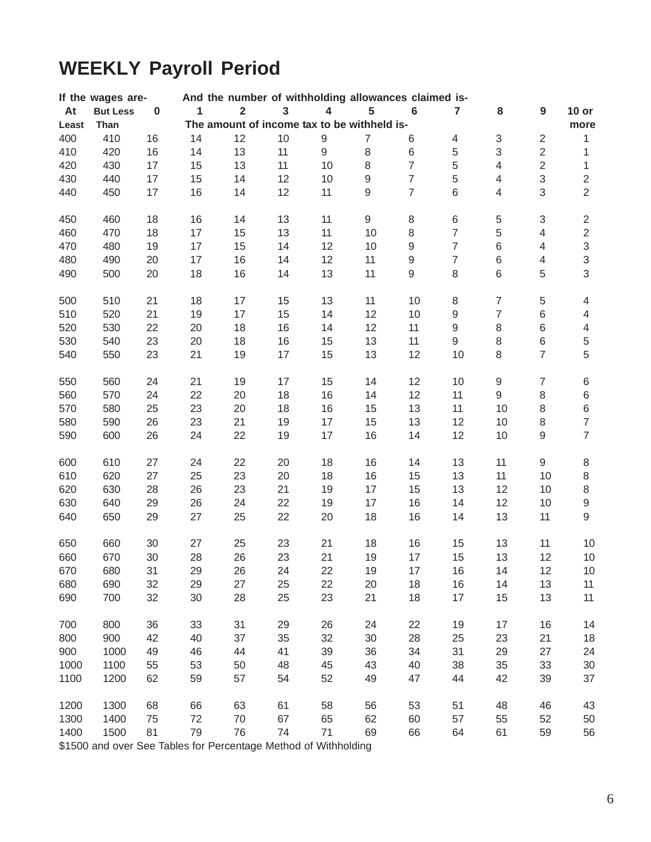# **WEEKLY Payroll Period**

| And the number of withholding allowances claimed is-<br>If the wages are- |                 |          |              |                         |                         |                         |                                             |                |                  |                  |                           |                           |
|---------------------------------------------------------------------------|-----------------|----------|--------------|-------------------------|-------------------------|-------------------------|---------------------------------------------|----------------|------------------|------------------|---------------------------|---------------------------|
| At                                                                        | <b>But Less</b> | $\bf{0}$ | $\mathbf{1}$ | $\overline{\mathbf{2}}$ | $\overline{\mathbf{3}}$ | $\overline{\mathbf{4}}$ | 5                                           | $\bf 6$        | $\overline{7}$   | 8                | 9                         | $10$ or                   |
| Least                                                                     | Than            |          |              |                         |                         |                         | The amount of income tax to be withheld is- |                |                  |                  |                           | more                      |
| 400                                                                       | 410             | 16       | 14           | 12                      | 10                      | $\boldsymbol{9}$        | $\overline{7}$                              | 6              | 4                | $\sqrt{3}$       | $\sqrt{2}$                | $\mathbf{1}$              |
| 410                                                                       | 420             | 16       | 14           | 13                      | 11                      | 9                       | $\,8\,$                                     | 6              | $\,$ 5 $\,$      | $\mathfrak{S}$   | $\overline{2}$            | 1                         |
| 420                                                                       | 430             | 17       | 15           | 13                      | 11                      | 10                      | 8                                           | $\overline{7}$ | 5                | $\overline{4}$   | $\overline{2}$            | $\mathbf{1}$              |
| 430                                                                       | 440             | 17       | 15           | 14                      | 12                      | 10                      | $\hbox{9}$                                  | $\overline{7}$ | 5                | $\overline{4}$   | $\mathsf 3$               | $\sqrt{2}$                |
| 440                                                                       | 450             | 17       | 16           | 14                      | 12                      | 11                      | $\hbox{9}$                                  | $\overline{7}$ | 6                | $\overline{4}$   | 3                         | $\overline{2}$            |
| 450                                                                       | 460             | 18       | 16           | 14                      | 13                      | 11                      | 9                                           | 8              | $\,6$            | $\,$ 5 $\,$      | $\ensuremath{\mathsf{3}}$ | $\sqrt{2}$                |
| 460                                                                       | 470             | 18       | 17           | 15                      | 13                      | 11                      | 10                                          | $\,8\,$        | $\overline{7}$   | 5                | $\overline{4}$            | $\sqrt{2}$                |
| 470                                                                       | 480             | 19       | 17           | 15                      | 14                      | 12                      | 10                                          | $\mathsf g$    | $\overline{7}$   | $\,6$            | $\overline{4}$            | $\ensuremath{\mathsf{3}}$ |
| 480                                                                       | 490             | 20       | 17           | 16                      | 14                      | 12                      | 11                                          | $\mathsf g$    | $\overline{7}$   | 6                | $\overline{4}$            | $\mathsf 3$               |
| 490                                                                       | 500             | 20       | 18           | 16                      | 14                      | 13                      | 11                                          | 9              | $\,8\,$          | 6                | 5                         | $\mathbf{3}$              |
| 500                                                                       | 510             | 21       | 18           | 17                      | 15                      | 13                      | 11                                          | 10             | 8                | $\overline{7}$   | $\,$ 5 $\,$               | $\overline{4}$            |
| 510                                                                       | 520             | 21       | 19           | 17                      | 15                      | 14                      | 12                                          | 10             | $\boldsymbol{9}$ | $\overline{7}$   | 6                         | $\overline{4}$            |
| 520                                                                       | 530             | 22       | 20           | 18                      | 16                      | 14                      | 12                                          | 11             | $\hbox{9}$       | 8                | $\,$ 6 $\,$               | $\overline{4}$            |
| 530                                                                       | 540             | 23       | 20           | 18                      | 16                      | 15                      | 13                                          | 11             | $\mathsf g$      | 8                | $\,$ 6 $\,$               | $\,$ 5 $\,$               |
| 540                                                                       | 550             | 23       | 21           | 19                      | 17                      | 15                      | 13                                          | 12             | 10               | 8                | $\overline{7}$            | $\sqrt{5}$                |
| 550                                                                       | 560             | 24       | 21           | 19                      | 17                      | 15                      | 14                                          | 12             | 10               | $\boldsymbol{9}$ | $\overline{7}$            | $\,6$                     |
| 560                                                                       | 570             | 24       | 22           | 20                      | 18                      | 16                      | 14                                          | 12             | 11               | 9                | 8                         | $\,6$                     |
| 570                                                                       | 580             | 25       | 23           | 20                      | 18                      | 16                      | 15                                          | 13             | 11               | 10               | $\,8\,$                   | $\,6$                     |
| 580                                                                       | 590             | 26       | 23           | 21                      | 19                      | 17                      | 15                                          | 13             | 12               | 10               | $\,8\,$                   | $\boldsymbol{7}$          |
| 590                                                                       | 600             | 26       | 24           | 22                      | 19                      | 17                      | 16                                          | 14             | 12               | 10               | $\hbox{9}$                | $\overline{7}$            |
| 600                                                                       | 610             | 27       | 24           | 22                      | 20                      | 18                      | 16                                          | 14             | 13               | 11               | $\mathsf g$               | $\,8\,$                   |
| 610                                                                       | 620             | 27       | 25           | 23                      | 20                      | 18                      | 16                                          | 15             | 13               | 11               | 10                        | $\,8\,$                   |
| 620                                                                       | 630             | 28       | 26           | 23                      | 21                      | 19                      | 17                                          | 15             | 13               | 12               | 10                        | $\,8\,$                   |
| 630                                                                       | 640             | 29       | 26           | 24                      | 22                      | 19                      | 17                                          | 16             | 14               | 12               | 10                        | $\boldsymbol{9}$          |
| 640                                                                       | 650             | 29       | 27           | 25                      | 22                      | 20                      | 18                                          | 16             | 14               | 13               | 11                        | $\hbox{9}$                |
| 650                                                                       | 660             | 30       | 27           | 25                      | 23                      | 21                      | 18                                          | 16             | 15               | 13               | 11                        | 10                        |
| 660                                                                       | 670             | 30       | 28           | 26                      | 23                      | 21                      | 19                                          | 17             | 15               | 13               | 12                        | 10                        |
| 670                                                                       | 680             | 31       | 29           | 26                      | 24                      | 22                      | 19                                          | 17             | $16\,$           | 14               | 12                        | 10                        |
| 680                                                                       | 690             | 32       | 29           | 27                      | 25                      | 22                      | 20                                          | 18             | 16               | 14               | 13                        | 11                        |
| 690                                                                       | 700             | 32       | 30           | 28                      | 25                      | 23                      | 21                                          | 18             | 17               | 15               | 13                        | 11                        |
| 700                                                                       | 800             | 36       | 33           | 31                      | 29                      | 26                      | 24                                          | 22             | 19               | 17               | 16                        | 14                        |
| 800                                                                       | 900             | 42       | 40           | 37                      | 35                      | 32                      | 30                                          | 28             | 25               | 23               | 21                        | 18                        |
| 900                                                                       | 1000            | 49       | 46           | 44                      | 41                      | 39                      | 36                                          | 34             | 31               | 29               | 27                        | 24                        |
| 1000                                                                      | 1100            | 55       | 53           | 50                      | 48                      | 45                      | 43                                          | 40             | 38               | 35               | 33                        | 30                        |
| 1100                                                                      | 1200            | 62       | 59           | 57                      | 54                      | 52                      | 49                                          | 47             | 44               | 42               | 39                        | 37                        |
| 1200                                                                      | 1300            | 68       | 66           | 63                      | 61                      | 58                      | 56                                          | 53             | 51               | 48               | 46                        | 43                        |
| 1300                                                                      | 1400            | 75       | 72           | 70                      | 67                      | 65                      | 62                                          | 60             | 57               | 55               | 52                        | 50                        |
| 1400                                                                      | 1500            | 81       | 79           | 76                      | 74                      | 71                      | 69                                          | 66             | 64               | 61               | 59                        | 56                        |

\$1500 and over See Tables for Percentage Method of Withholding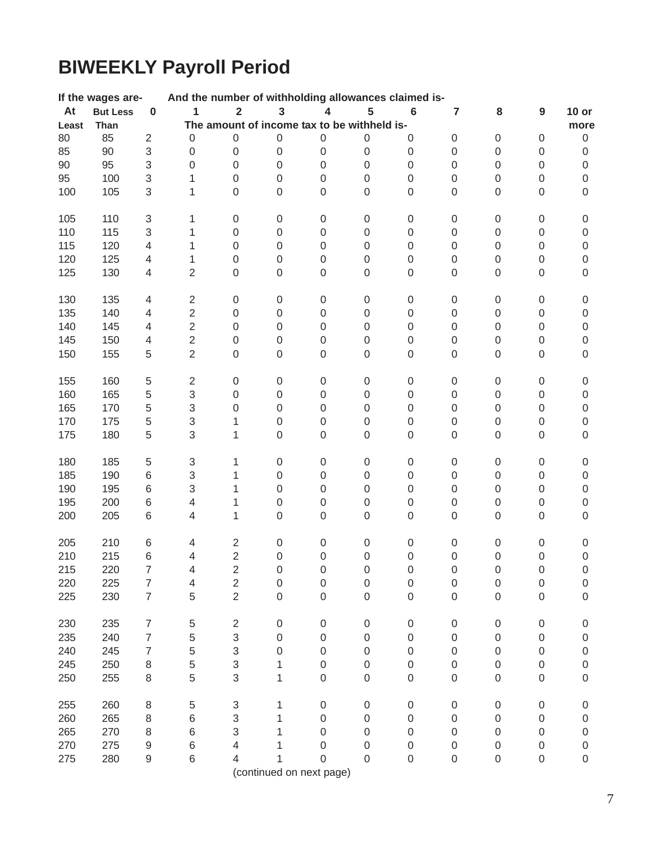# **BIWEEKLY Payroll Period**

|        | If the wages are- |                           | And the number of withholding allowances claimed is- |                           |                     |                                             |                  |                  |                  |                  |                  |                  |
|--------|-------------------|---------------------------|------------------------------------------------------|---------------------------|---------------------|---------------------------------------------|------------------|------------------|------------------|------------------|------------------|------------------|
| At     | <b>But Less</b>   | $\bf{0}$                  | 1                                                    | $\overline{\mathbf{2}}$   | $\mathbf{3}$        | 4                                           | 5                | $6\phantom{1}$   | $\overline{7}$   | 8                | $\boldsymbol{9}$ | $10$ or          |
| Least  | Than              |                           |                                                      |                           |                     | The amount of income tax to be withheld is- |                  |                  |                  |                  |                  | more             |
| 80     | 85                | $\overline{2}$            | $\boldsymbol{0}$                                     | 0                         | $\mathsf 0$         | 0                                           | 0                | 0                | $\mathsf 0$      | $\boldsymbol{0}$ | $\mathbf 0$      | $\mathbf 0$      |
| 85     | 90                | $\sqrt{3}$                | $\mathbf 0$                                          | $\,0\,$                   | $\boldsymbol{0}$    | $\boldsymbol{0}$                            | 0                | 0                | $\boldsymbol{0}$ | $\boldsymbol{0}$ | $\boldsymbol{0}$ | $\boldsymbol{0}$ |
| $90\,$ | 95                | $\,3$                     | $\boldsymbol{0}$                                     | $\boldsymbol{0}$          | $\mathsf 0$         | $\boldsymbol{0}$                            | 0                | 0                | $\boldsymbol{0}$ | $\boldsymbol{0}$ | $\boldsymbol{0}$ | $\boldsymbol{0}$ |
| 95     | 100               | $\ensuremath{\mathsf{3}}$ | 1                                                    | 0                         | $\mathsf 0$         | $\boldsymbol{0}$                            | $\boldsymbol{0}$ | $\mathsf 0$      | $\boldsymbol{0}$ | $\boldsymbol{0}$ | $\boldsymbol{0}$ | $\,0\,$          |
| 100    | 105               | $\sqrt{3}$                | 1                                                    | 0                         | $\mathsf 0$         | $\boldsymbol{0}$                            | $\mathsf 0$      | $\mathsf 0$      | $\boldsymbol{0}$ | $\boldsymbol{0}$ | $\boldsymbol{0}$ | $\mbox{O}$       |
| 105    | 110               | $\ensuremath{\mathsf{3}}$ | 1                                                    | $\boldsymbol{0}$          | $\boldsymbol{0}$    | $\boldsymbol{0}$                            | $\boldsymbol{0}$ | 0                | $\boldsymbol{0}$ | $\boldsymbol{0}$ | $\boldsymbol{0}$ | $\boldsymbol{0}$ |
| 110    | 115               | $\ensuremath{\mathsf{3}}$ | 1                                                    | $\boldsymbol{0}$          | $\mathsf 0$         | $\boldsymbol{0}$                            | $\boldsymbol{0}$ | 0                | $\boldsymbol{0}$ | $\boldsymbol{0}$ | $\boldsymbol{0}$ | $\boldsymbol{0}$ |
| 115    | 120               | $\overline{4}$            | 1                                                    | $\mathbf 0$               | 0                   | $\boldsymbol{0}$                            | 0                | $\mathsf 0$      | $\boldsymbol{0}$ | $\boldsymbol{0}$ | $\boldsymbol{0}$ | $\,0\,$          |
| 120    | 125               | 4                         | 1                                                    | 0                         | $\mathsf 0$         | $\boldsymbol{0}$                            | 0                | $\mathsf 0$      | $\boldsymbol{0}$ | $\boldsymbol{0}$ | $\mathbf 0$      | $\mathbf 0$      |
| 125    | 130               | $\overline{4}$            | $\overline{2}$                                       | $\mathbf 0$               | $\mathsf 0$         | 0                                           | 0                | $\mathsf 0$      | $\boldsymbol{0}$ | $\boldsymbol{0}$ | $\boldsymbol{0}$ | $\boldsymbol{0}$ |
| 130    | 135               | $\overline{4}$            | $\sqrt{2}$                                           | $\boldsymbol{0}$          | $\mathsf{O}\xspace$ | $\,0\,$                                     | $\boldsymbol{0}$ | $\boldsymbol{0}$ | $\mbox{O}$       | $\boldsymbol{0}$ | $\boldsymbol{0}$ | $\boldsymbol{0}$ |
| 135    | 140               | $\overline{4}$            | $\overline{2}$                                       | $\boldsymbol{0}$          | $\mbox{O}$          | $\,0\,$                                     | $\boldsymbol{0}$ | $\boldsymbol{0}$ | $\boldsymbol{0}$ | $\boldsymbol{0}$ | $\boldsymbol{0}$ | $\boldsymbol{0}$ |
| 140    | 145               | $\overline{4}$            | $\overline{2}$                                       | 0                         | $\mathsf 0$         | $\boldsymbol{0}$                            | $\boldsymbol{0}$ | $\mathsf 0$      | $\boldsymbol{0}$ | $\boldsymbol{0}$ | $\boldsymbol{0}$ | $\mathbf 0$      |
| 145    | 150               | $\overline{4}$            | $\overline{2}$                                       | 0                         | $\mathsf 0$         | $\boldsymbol{0}$                            | 0                | $\mathsf 0$      | $\boldsymbol{0}$ | $\mathbf 0$      | $\boldsymbol{0}$ | $\mathbf 0$      |
| 150    | 155               | 5                         | $\overline{2}$                                       | 0                         | $\mathsf 0$         | $\boldsymbol{0}$                            | $\mathsf 0$      | $\mathsf 0$      | $\boldsymbol{0}$ | $\boldsymbol{0}$ | $\boldsymbol{0}$ | $\boldsymbol{0}$ |
| 155    | 160               | $\,$ 5 $\,$               | $\sqrt{2}$                                           | $\,0\,$                   | $\mathbf 0$         | $\boldsymbol{0}$                            | $\boldsymbol{0}$ | 0                | $\boldsymbol{0}$ | $\boldsymbol{0}$ | $\boldsymbol{0}$ | $\boldsymbol{0}$ |
| 160    | 165               | $\,$ 5 $\,$               | 3                                                    | $\boldsymbol{0}$          | $\mathbf 0$         | $\boldsymbol{0}$                            | 0                | $\boldsymbol{0}$ | $\mbox{O}$       | $\boldsymbol{0}$ | $\boldsymbol{0}$ | $\boldsymbol{0}$ |
| 165    | 170               | $\sqrt{5}$                | 3                                                    | 0                         | $\mathbf 0$         | $\boldsymbol{0}$                            | 0                | $\boldsymbol{0}$ | $\mbox{O}$       | $\boldsymbol{0}$ | $\boldsymbol{0}$ | $\boldsymbol{0}$ |
| 170    | 175               | $\mathbf 5$               | 3                                                    | 1                         | $\mathsf 0$         | $\,0\,$                                     | $\boldsymbol{0}$ | $\boldsymbol{0}$ | $\mbox{O}$       | $\boldsymbol{0}$ | $\boldsymbol{0}$ | $\,0\,$          |
| 175    | 180               | 5                         | 3                                                    | 1                         | $\mathsf 0$         | $\boldsymbol{0}$                            | 0                | $\mathsf 0$      | $\boldsymbol{0}$ | $\boldsymbol{0}$ | $\boldsymbol{0}$ | $\boldsymbol{0}$ |
| 180    | 185               | $\,$ 5 $\,$               | $\ensuremath{\mathsf{3}}$                            | 1                         | 0                   | $\boldsymbol{0}$                            | $\boldsymbol{0}$ | 0                | $\mbox{O}$       | $\mathbf 0$      | $\boldsymbol{0}$ | $\boldsymbol{0}$ |
| 185    | 190               | 6                         | 3                                                    | 1                         | $\mathsf 0$         | $\boldsymbol{0}$                            | $\boldsymbol{0}$ | 0                | $\boldsymbol{0}$ | $\boldsymbol{0}$ | $\boldsymbol{0}$ | $\,0\,$          |
| 190    | 195               | $\,6$                     | 3                                                    | 1                         | 0                   | $\boldsymbol{0}$                            | 0                | $\mathsf 0$      | $\boldsymbol{0}$ | $\boldsymbol{0}$ | $\boldsymbol{0}$ | $\mathbf 0$      |
| 195    | 200               | $\,6$                     | 4                                                    | 1                         | 0                   | $\boldsymbol{0}$                            | 0                | $\mathsf 0$      | $\boldsymbol{0}$ | $\boldsymbol{0}$ | $\boldsymbol{0}$ | $\boldsymbol{0}$ |
| 200    | 205               | 6                         | 4                                                    | 1                         | $\mathsf 0$         | 0                                           | 0                | $\mathsf 0$      | $\boldsymbol{0}$ | $\boldsymbol{0}$ | $\boldsymbol{0}$ | $\boldsymbol{0}$ |
| 205    | 210               | 6                         | 4                                                    | $\overline{2}$            | 0                   | $\boldsymbol{0}$                            | $\boldsymbol{0}$ | 0                | $\mbox{O}$       | $\boldsymbol{0}$ | $\boldsymbol{0}$ | $\boldsymbol{0}$ |
| 210    | 215               | 6                         | $\overline{4}$                                       | $\overline{2}$            | $\mathsf 0$         | $\mathbf 0$                                 | $\mathsf 0$      | $\mathsf 0$      | $\boldsymbol{0}$ | $\boldsymbol{0}$ | $\boldsymbol{0}$ | $\boldsymbol{0}$ |
| 215    | 220               |                           | 4                                                    | 2                         | 0                   | 0                                           | 0                | 0                | 0                | 0                | 0                | 0                |
| 220    | 225               | 7                         | 4                                                    | $\overline{c}$            | 0                   | 0                                           | 0                | 0                | 0                | $\boldsymbol{0}$ | $\boldsymbol{0}$ | $\boldsymbol{0}$ |
| 225    | 230               | $\overline{7}$            | 5                                                    | $\overline{2}$            | $\mathsf 0$         | 0                                           | 0                | $\mathsf 0$      | $\mathbf 0$      | $\boldsymbol{0}$ | $\boldsymbol{0}$ | $\mathbf 0$      |
| 230    | 235               | $\overline{7}$            | 5                                                    | $\overline{\mathbf{c}}$   | $\boldsymbol{0}$    | $\boldsymbol{0}$                            | $\boldsymbol{0}$ | $\mathsf 0$      | $\boldsymbol{0}$ | $\boldsymbol{0}$ | $\boldsymbol{0}$ | $\mathbf 0$      |
| 235    | 240               | $\overline{7}$            | 5                                                    | 3                         | 0                   | $\boldsymbol{0}$                            | 0                | 0                | 0                | $\boldsymbol{0}$ | $\boldsymbol{0}$ | $\boldsymbol{0}$ |
| 240    | 245               | $\overline{7}$            | 5                                                    | $\ensuremath{\mathsf{3}}$ | 0                   | $\boldsymbol{0}$                            | 0                | 0                | 0                | $\boldsymbol{0}$ | $\boldsymbol{0}$ | $\boldsymbol{0}$ |
| 245    | 250               | $\,8\,$                   | 5                                                    | $\mathsf 3$               | 1                   | $\boldsymbol{0}$                            | 0                | 0                | 0                | $\boldsymbol{0}$ | $\boldsymbol{0}$ | $\boldsymbol{0}$ |
| 250    | 255               | 8                         | 5                                                    | 3                         | 1                   | 0                                           | 0                | 0                | 0                | $\boldsymbol{0}$ | $\boldsymbol{0}$ | $\mathbf 0$      |
| 255    | 260               | $\,8\,$                   | 5                                                    | 3                         | 1                   | $\boldsymbol{0}$                            | $\boldsymbol{0}$ | $\boldsymbol{0}$ | $\mbox{O}$       | $\boldsymbol{0}$ | $\boldsymbol{0}$ | $\mathbf 0$      |
| 260    | 265               | $\,8\,$                   | 6                                                    | $\ensuremath{\mathsf{3}}$ | 1                   | 0                                           | 0                | 0                | 0                | $\mathbf 0$      | $\boldsymbol{0}$ | $\boldsymbol{0}$ |
| 265    | 270               | 8                         | 6                                                    | 3                         | 1                   | 0                                           | 0                | 0                | 0                | $\mathbf 0$      | 0                | $\boldsymbol{0}$ |
| 270    | 275               | $\boldsymbol{9}$          | 6                                                    | 4                         |                     | 0                                           | 0                | 0                | $\mathbf 0$      | $\boldsymbol{0}$ | 0                | $\boldsymbol{0}$ |
| 275    | 280               | $\hbox{9}$                | 6                                                    | 4                         | 1                   | 0                                           | 0                | 0                | $\boldsymbol{0}$ | $\boldsymbol{0}$ | $\boldsymbol{0}$ | $\mathbf 0$      |
|        |                   |                           |                                                      |                           |                     | (continued on next page)                    |                  |                  |                  |                  |                  |                  |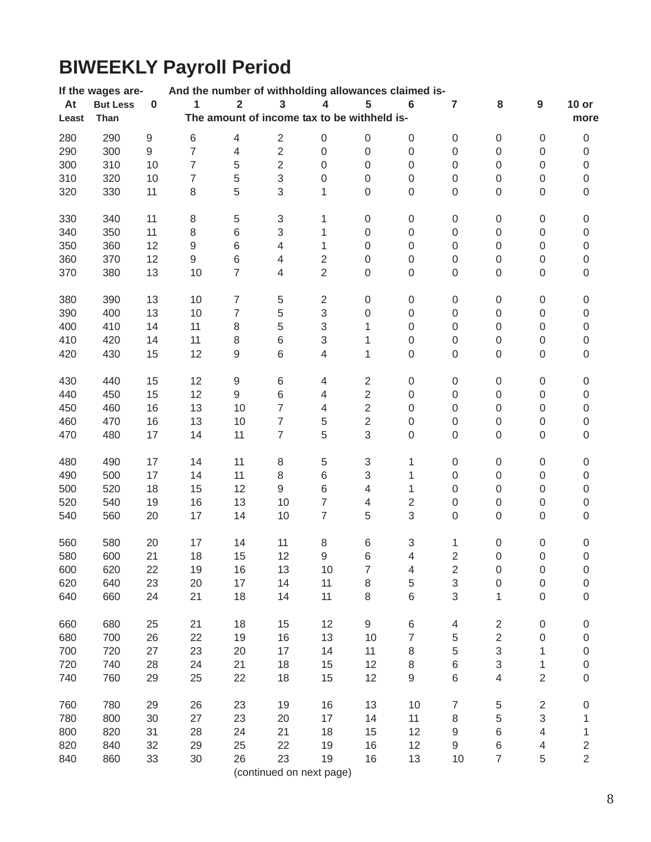# **BIWEEKLY Payroll Period**

|       | If the wages are- |                  | And the number of withholding allowances claimed is- |                          |                           |                           |                                             |                          |                  |                  |                  |                  |
|-------|-------------------|------------------|------------------------------------------------------|--------------------------|---------------------------|---------------------------|---------------------------------------------|--------------------------|------------------|------------------|------------------|------------------|
| At    | <b>But Less</b>   | $\pmb{0}$        | 1                                                    | $\overline{\mathbf{2}}$  | $\overline{\mathbf{3}}$   | 4                         | 5                                           | $6\phantom{1}6$          | 7                | 8                | $\boldsymbol{9}$ | $10$ or          |
| Least | Than              |                  |                                                      |                          |                           |                           | The amount of income tax to be withheld is- |                          |                  |                  |                  | more             |
| 280   | 290               |                  | $\,$ 6 $\,$                                          | $\overline{\mathbf{4}}$  |                           | $\boldsymbol{0}$          | $\,0\,$                                     |                          |                  |                  |                  |                  |
|       |                   | $\boldsymbol{9}$ |                                                      |                          | $\sqrt{2}$                |                           |                                             | $\boldsymbol{0}$         | $\boldsymbol{0}$ | 0                | $\boldsymbol{0}$ | 0                |
| 290   | 300               | $\mathsf g$      | $\overline{7}$                                       | $\overline{\mathcal{A}}$ | $\mathbf 2$               | $\boldsymbol{0}$          | $\boldsymbol{0}$                            | $\boldsymbol{0}$         | 0                | $\boldsymbol{0}$ | $\mbox{O}$       | $\boldsymbol{0}$ |
| 300   | 310               | 10               | $\overline{7}$                                       | 5                        | $\overline{2}$            | $\boldsymbol{0}$          | 0                                           | $\boldsymbol{0}$         | 0                | $\boldsymbol{0}$ | $\boldsymbol{0}$ | $\boldsymbol{0}$ |
| 310   | 320               | 10               | $\overline{7}$                                       | 5                        | $\sqrt{3}$                | $\boldsymbol{0}$          | 0                                           | 0                        | 0                | $\boldsymbol{0}$ | $\boldsymbol{0}$ | $\boldsymbol{0}$ |
| 320   | 330               | 11               | 8                                                    | 5                        | 3                         | 1                         | 0                                           | $\boldsymbol{0}$         | 0                | $\boldsymbol{0}$ | $\boldsymbol{0}$ | $\mathsf 0$      |
| 330   | 340               | 11               | 8                                                    | 5                        | $\ensuremath{\mathsf{3}}$ | 1                         | 0                                           | $\boldsymbol{0}$         | 0                | $\boldsymbol{0}$ | $\boldsymbol{0}$ | $\boldsymbol{0}$ |
| 340   | 350               | 11               | $\,8\,$                                              | 6                        | 3                         | 1                         | $\boldsymbol{0}$                            | $\boldsymbol{0}$         | 0                | $\mathsf 0$      | $\mathsf 0$      | $\mathsf 0$      |
| 350   | 360               | 12               | $\hbox{9}$                                           | $\,6$                    | 4                         | 1                         | $\boldsymbol{0}$                            | $\boldsymbol{0}$         | 0                | $\mathsf 0$      | $\boldsymbol{0}$ | $\mathsf 0$      |
| 360   | 370               | 12               | 9                                                    | 6                        | 4                         | $\overline{c}$            | $\boldsymbol{0}$                            | $\boldsymbol{0}$         | 0                | $\boldsymbol{0}$ | $\mbox{O}$       | $\mathsf 0$      |
| 370   | 380               | 13               | 10                                                   | $\overline{7}$           | $\overline{4}$            | $\overline{2}$            | $\boldsymbol{0}$                            | $\boldsymbol{0}$         | 0                | $\boldsymbol{0}$ | $\boldsymbol{0}$ | $\boldsymbol{0}$ |
| 380   | 390               | 13               | 10                                                   | $\boldsymbol{7}$         | $\,$ 5 $\,$               | $\overline{2}$            | $\boldsymbol{0}$                            | $\boldsymbol{0}$         | 0                | $\boldsymbol{0}$ | 0                | 0                |
| 390   | 400               | 13               | 10                                                   | $\overline{7}$           | 5                         | $\ensuremath{\mathsf{3}}$ | $\boldsymbol{0}$                            | $\,0\,$                  | 0                | $\boldsymbol{0}$ | $\mbox{O}$       | $\boldsymbol{0}$ |
| 400   | 410               | 14               | 11                                                   | $\,8\,$                  | 5                         | 3                         | 1                                           | $\boldsymbol{0}$         | 0                | 0                | 0                | $\boldsymbol{0}$ |
| 410   | 420               | 14               | 11                                                   | 8                        | 6                         | 3                         | 1                                           | $\boldsymbol{0}$         | 0                | $\boldsymbol{0}$ | $\mbox{O}$       | $\boldsymbol{0}$ |
| 420   | 430               | 15               | 12                                                   | 9                        | 6                         | 4                         | 1                                           | 0                        | 0                | $\boldsymbol{0}$ | $\mbox{O}$       | $\mathsf 0$      |
| 430   | 440               | 15               | 12                                                   | $\boldsymbol{9}$         | $\,6$                     | 4                         | $\overline{c}$                              | $\boldsymbol{0}$         | 0                | $\boldsymbol{0}$ | $\boldsymbol{0}$ | $\boldsymbol{0}$ |
| 440   | 450               | 15               | 12                                                   | 9                        | $\,$ 6 $\,$               | 4                         | $\overline{2}$                              | $\boldsymbol{0}$         | 0                | $\boldsymbol{0}$ | $\mbox{O}$       | $\boldsymbol{0}$ |
| 450   | 460               | 16               | 13                                                   | 10                       | 7                         | 4                         | $\overline{2}$                              | $\boldsymbol{0}$         | $\mathsf 0$      | $\boldsymbol{0}$ | $\boldsymbol{0}$ | $\boldsymbol{0}$ |
| 460   | 470               | 16               | 13                                                   | 10                       | $\overline{7}$            | 5                         | $\overline{2}$                              | $\boldsymbol{0}$         | 0                | $\boldsymbol{0}$ | $\boldsymbol{0}$ | $\boldsymbol{0}$ |
| 470   | 480               | 17               | 14                                                   | 11                       | $\overline{7}$            | 5                         | 3                                           | 0                        | $\mathsf 0$      | $\boldsymbol{0}$ | $\boldsymbol{0}$ | $\boldsymbol{0}$ |
| 480   | 490               | 17               | 14                                                   | 11                       | 8                         | 5                         | 3                                           | 1                        | $\mathsf 0$      | $\boldsymbol{0}$ | 0                | 0                |
| 490   | 500               | 17               | 14                                                   | 11                       | $\,8\,$                   | $\,6\,$                   | 3                                           | 1                        | $\boldsymbol{0}$ | $\mathsf 0$      | $\boldsymbol{0}$ | $\mathsf 0$      |
| 500   | 520               | 18               | 15                                                   | 12                       | $\mathsf g$               | $\,$ 6 $\,$               | $\overline{4}$                              | 1                        | $\mathsf 0$      | $\boldsymbol{0}$ | $\mbox{O}$       | $\mathsf 0$      |
| 520   | 540               | 19               | 16                                                   | 13                       | 10                        | $\overline{7}$            | $\overline{\mathbf{4}}$                     | $\overline{2}$           | $\boldsymbol{0}$ | $\boldsymbol{0}$ | $\mbox{O}$       | $\boldsymbol{0}$ |
| 540   | 560               | 20               | 17                                                   | 14                       | 10                        | $\overline{7}$            | 5                                           | 3                        | $\mathsf 0$      | $\boldsymbol{0}$ | $\boldsymbol{0}$ | $\boldsymbol{0}$ |
| 560   | 580               | 20               | 17                                                   | 14                       | 11                        | 8                         | 6                                           | 3                        | 1                | $\boldsymbol{0}$ | $\boldsymbol{0}$ | 0                |
| 580   | 600               | 21               | 18                                                   | 15                       | 12                        | 9                         | 6                                           | $\overline{\mathcal{L}}$ | $\overline{2}$   | 0                | $\mathbf 0$      | $\boldsymbol{0}$ |
| 600   | 620               | 22               | 19                                                   | 16                       | 13                        | 10                        | 7                                           | 4                        | 2                | 0                | $\boldsymbol{0}$ | 0                |
| 620   | 640               | 23               | 20                                                   | 17                       | 14                        | 11                        | 8                                           | 5                        | 3                | $\boldsymbol{0}$ | $\boldsymbol{0}$ | $\mathsf 0$      |
| 640   | 660               | 24               | 21                                                   | 18                       | 14                        | 11                        | 8                                           | 6                        | 3                | 1                | $\mathsf 0$      | 0                |
| 660   | 680               | 25               | 21                                                   | 18                       | 15                        | 12                        | 9                                           | $\,6$                    | $\overline{4}$   | $\overline{c}$   | $\boldsymbol{0}$ | 0                |
| 680   | 700               | 26               | 22                                                   | 19                       | 16                        | 13                        | 10                                          | $\overline{7}$           | 5                | $\overline{2}$   | $\boldsymbol{0}$ | 0                |
| 700   | 720               | 27               | 23                                                   | 20                       | 17                        | 14                        | 11                                          | 8                        | 5                | 3                | 1                | $\boldsymbol{0}$ |
| 720   | 740               | 28               | 24                                                   | 21                       | 18                        | 15                        | 12                                          | 8                        |                  | 3                |                  |                  |
|       |                   |                  |                                                      |                          |                           |                           |                                             |                          | 6                |                  | 1                | 0                |
| 740   | 760               | 29               | 25                                                   | 22                       | 18                        | 15                        | 12                                          | 9                        | 6                | 4                | $\overline{2}$   | 0                |
| 760   | 780               | 29               | 26                                                   | 23                       | 19                        | 16                        | 13                                          | 10                       | 7                | $\,$ 5 $\,$      | $\sqrt{2}$       | 0                |
| 780   | 800               | 30               | 27                                                   | 23                       | 20                        | 17                        | 14                                          | 11                       | 8                | 5                | 3                | 1                |
| 800   | 820               | 31               | 28                                                   | 24                       | 21                        | 18                        | 15                                          | 12                       | 9                | $\,$ 6 $\,$      | 4                | 1                |
| 820   | 840               | 32               | 29                                                   | 25                       | 22                        | 19                        | 16                                          | 12                       | 9                | 6                | 4                | $\overline{c}$   |
| 840   | 860               | 33               | 30                                                   | 26                       | 23                        | 19                        | 16                                          | 13                       | 10               | $\overline{7}$   | 5                | $\overline{2}$   |
|       |                   |                  |                                                      |                          | (continued on next page)  |                           |                                             |                          |                  |                  |                  |                  |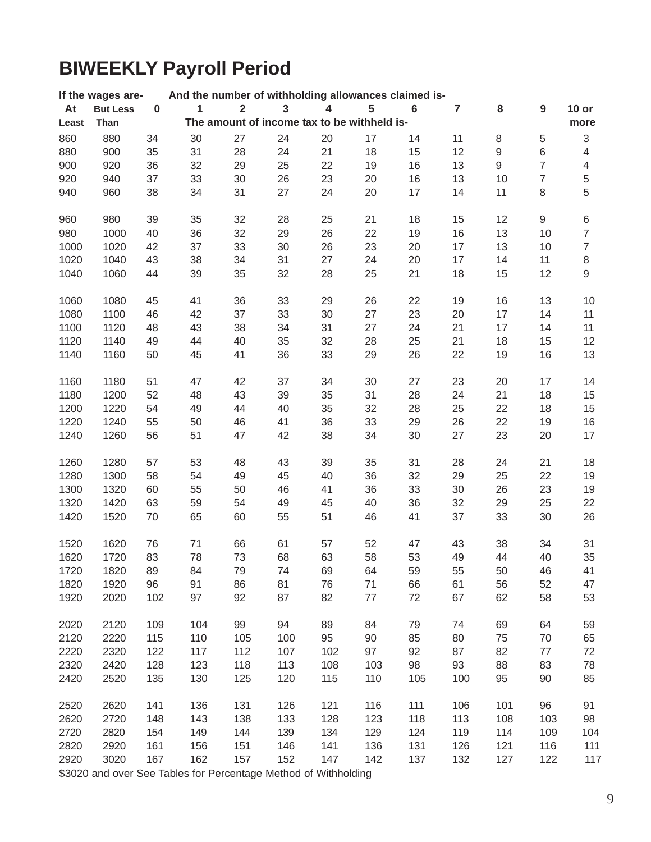# **BIWEEKLY Payroll Period**

|       | If the wages are-                                               |           | And the number of withholding allowances claimed is- |                         |                                             |     |     |         |                |                  |                  |                |
|-------|-----------------------------------------------------------------|-----------|------------------------------------------------------|-------------------------|---------------------------------------------|-----|-----|---------|----------------|------------------|------------------|----------------|
| At    | <b>But Less</b>                                                 | $\pmb{0}$ | 1                                                    | $\overline{\mathbf{2}}$ | $\overline{\mathbf{3}}$                     | 4   | 5   | $\bf 6$ | $\overline{7}$ | 8                | $\boldsymbol{9}$ | $10$ or        |
| Least | Than                                                            |           |                                                      |                         | The amount of income tax to be withheld is- |     |     |         |                |                  |                  | more           |
| 860   | 880                                                             | 34        | 30                                                   | 27                      | 24                                          | 20  | 17  | 14      | 11             | 8                | $\,$ 5 $\,$      | $\sqrt{3}$     |
| 880   | 900                                                             | 35        | 31                                                   | 28                      | 24                                          | 21  | 18  | 15      | 12             | $\hbox{9}$       | 6                | $\overline{4}$ |
| 900   | 920                                                             | 36        | 32                                                   | 29                      | 25                                          | 22  | 19  | 16      | 13             | $\boldsymbol{9}$ | 7                | $\overline{4}$ |
|       |                                                                 |           |                                                      |                         |                                             |     |     |         |                |                  |                  |                |
| 920   | 940                                                             | 37        | 33                                                   | 30                      | 26                                          | 23  | 20  | 16      | 13             | 10               | $\overline{7}$   | $\mathbf 5$    |
| 940   | 960                                                             | 38        | 34                                                   | 31                      | 27                                          | 24  | 20  | 17      | 14             | 11               | 8                | 5              |
| 960   | 980                                                             | 39        | 35                                                   | 32                      | 28                                          | 25  | 21  | 18      | 15             | 12               | 9                | $\,6$          |
| 980   | 1000                                                            | 40        | 36                                                   | 32                      | 29                                          | 26  | 22  | 19      | 16             | 13               | 10               | $\overline{7}$ |
| 1000  | 1020                                                            | 42        | 37                                                   | 33                      | 30                                          | 26  | 23  | 20      | 17             | 13               | 10               | $\overline{7}$ |
| 1020  | 1040                                                            | 43        | 38                                                   | 34                      | 31                                          | 27  | 24  | 20      | 17             | 14               | 11               | $\,8\,$        |
| 1040  | 1060                                                            | 44        | 39                                                   | 35                      | 32                                          | 28  | 25  | 21      | 18             | 15               | 12               | $\hbox{9}$     |
|       |                                                                 |           |                                                      |                         |                                             |     |     |         |                |                  |                  |                |
| 1060  | 1080                                                            | 45        | 41                                                   | 36                      | 33                                          | 29  | 26  | 22      | 19             | 16               | 13               | 10             |
| 1080  | 1100                                                            | 46        | 42                                                   | 37                      | 33                                          | 30  | 27  | 23      | 20             | 17               | 14               | 11             |
| 1100  | 1120                                                            | 48        | 43                                                   | 38                      | 34                                          | 31  | 27  | 24      | 21             | 17               | 14               | 11             |
| 1120  | 1140                                                            | 49        | 44                                                   | 40                      | 35                                          | 32  | 28  | 25      | 21             | 18               | 15               | 12             |
| 1140  | 1160                                                            | 50        | 45                                                   | 41                      | 36                                          | 33  | 29  | 26      | 22             | 19               | 16               | 13             |
| 1160  | 1180                                                            | 51        | 47                                                   | 42                      | 37                                          | 34  | 30  | 27      | 23             | 20               | 17               | 14             |
| 1180  | 1200                                                            | 52        | 48                                                   | 43                      | 39                                          | 35  | 31  | 28      | 24             | 21               | 18               | 15             |
| 1200  | 1220                                                            | 54        | 49                                                   | 44                      | 40                                          | 35  | 32  | 28      | 25             | 22               | 18               | 15             |
| 1220  | 1240                                                            | 55        | 50                                                   | 46                      | 41                                          | 36  | 33  | 29      | 26             | 22               | 19               | 16             |
| 1240  | 1260                                                            | 56        | 51                                                   | 47                      | 42                                          | 38  | 34  | 30      | 27             | 23               | 20               | 17             |
|       |                                                                 |           |                                                      |                         |                                             |     |     |         |                |                  |                  |                |
| 1260  | 1280                                                            | 57        | 53                                                   | 48                      | 43                                          | 39  | 35  | 31      | 28             | 24               | 21               | 18             |
| 1280  | 1300                                                            | 58        | 54                                                   | 49                      | 45                                          | 40  | 36  | 32      | 29             | 25               | 22               | 19             |
| 1300  | 1320                                                            | 60        | 55                                                   | 50                      | 46                                          | 41  | 36  | 33      | 30             | 26               | 23               | 19             |
| 1320  | 1420                                                            | 63        | 59                                                   | 54                      | 49                                          | 45  | 40  | 36      | 32             | 29               | 25               | 22             |
| 1420  | 1520                                                            | 70        | 65                                                   | 60                      | 55                                          | 51  | 46  | 41      | 37             | 33               | 30               | 26             |
|       |                                                                 |           |                                                      |                         |                                             |     |     |         |                |                  |                  |                |
| 1520  | 1620                                                            | 76        | 71                                                   | 66                      | 61                                          | 57  | 52  | 47      | 43             | 38               | 34               | 31             |
| 1620  | 1720                                                            | 83        | 78                                                   | 73                      | 68                                          | 63  | 58  | 53      | 49             | 44               | 40               | 35             |
| 1720  | 1820                                                            | 89        | 84                                                   | 79                      | 74                                          | 69  | 64  | 59      | 55             | 50               | 46               | 41             |
| 1820  | 1920                                                            | 96        | 91                                                   | 86                      | 81                                          | 76  | 71  | 66      | 61             | 56               | 52               | 47             |
| 1920  | 2020                                                            | 102       | 97                                                   | 92                      | 87                                          | 82  | 77  | 72      | 67             | 62               | 58               | 53             |
| 2020  | 2120                                                            | 109       | 104                                                  | 99                      | 94                                          | 89  | 84  | 79      | 74             | 69               | 64               | 59             |
| 2120  | 2220                                                            | 115       | 110                                                  | 105                     | 100                                         | 95  | 90  | 85      | 80             | 75               | 70               | 65             |
|       |                                                                 |           |                                                      |                         |                                             |     |     |         |                |                  |                  |                |
| 2220  | 2320                                                            | 122       | 117                                                  | 112                     | 107                                         | 102 | 97  | 92      | 87             | 82               | 77               | 72             |
| 2320  | 2420                                                            | 128       | 123                                                  | 118                     | 113                                         | 108 | 103 | 98      | 93             | 88               | 83               | 78             |
| 2420  | 2520                                                            | 135       | 130                                                  | 125                     | 120                                         | 115 | 110 | 105     | 100            | 95               | 90               | 85             |
| 2520  | 2620                                                            | 141       | 136                                                  | 131                     | 126                                         | 121 | 116 | 111     | 106            | 101              | 96               | 91             |
| 2620  | 2720                                                            | 148       | 143                                                  | 138                     | 133                                         | 128 | 123 | 118     | 113            | 108              | 103              | 98             |
| 2720  | 2820                                                            | 154       | 149                                                  | 144                     | 139                                         | 134 | 129 | 124     | 119            | 114              | 109              | 104            |
| 2820  | 2920                                                            | 161       | 156                                                  | 151                     | 146                                         | 141 | 136 | 131     | 126            | 121              | 116              | 111            |
| 2920  | 3020                                                            | 167       | 162                                                  | 157                     | 152                                         | 147 | 142 | 137     | 132            | 127              | 122              | 117            |
|       | \$3020 and over See Tables for Percentage Method of Withholding |           |                                                      |                         |                                             |     |     |         |                |                  |                  |                |
|       |                                                                 |           |                                                      |                         |                                             |     |     |         |                |                  |                  |                |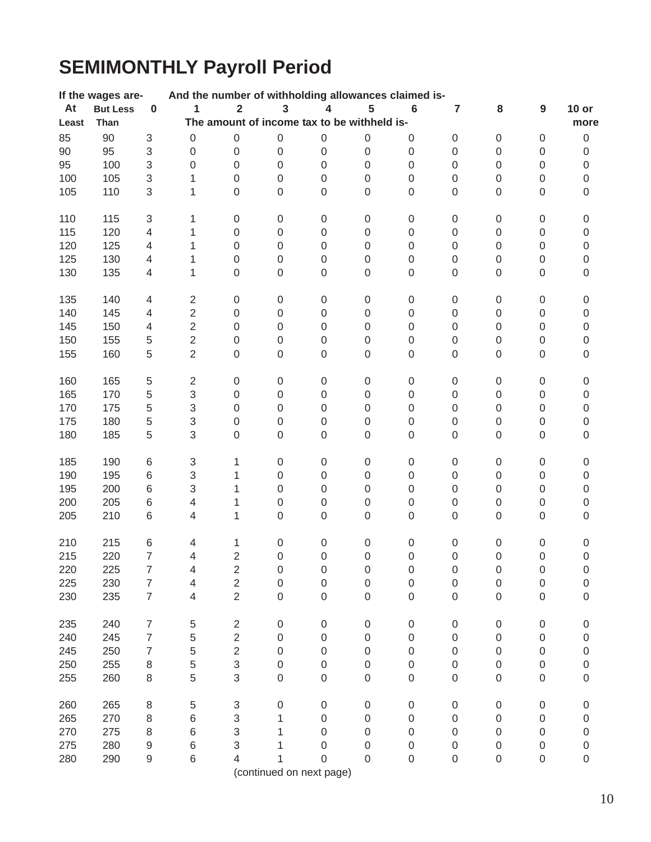# **SEMIMONTHLY Payroll Period**

|        | If the wages are- |                           | And the number of withholding allowances claimed is- |                         |                                             |                     |                     |                  |                     |                  |                     |                  |
|--------|-------------------|---------------------------|------------------------------------------------------|-------------------------|---------------------------------------------|---------------------|---------------------|------------------|---------------------|------------------|---------------------|------------------|
| At     | <b>But Less</b>   | $\pmb{0}$                 | $\mathbf{1}$                                         | $\overline{\mathbf{2}}$ | $\overline{\mathbf{3}}$                     | 4                   | 5                   | $\bf 6$          | $\overline{7}$      | 8                | 9                   | $10$ or          |
| Least  | Than              |                           |                                                      |                         | The amount of income tax to be withheld is- |                     |                     |                  |                     |                  |                     | more             |
| 85     | 90                | 3                         | $\boldsymbol{0}$                                     | $\boldsymbol{0}$        | $\boldsymbol{0}$                            | $\boldsymbol{0}$    | $\boldsymbol{0}$    | 0                | $\boldsymbol{0}$    | 0                | $\boldsymbol{0}$    | $\,0\,$          |
| $90\,$ | 95                | $\ensuremath{\mathsf{3}}$ | $\boldsymbol{0}$                                     | $\boldsymbol{0}$        | $\boldsymbol{0}$                            | $\boldsymbol{0}$    | $\boldsymbol{0}$    | $\boldsymbol{0}$ | $\boldsymbol{0}$    | 0                | $\boldsymbol{0}$    | $\mathsf 0$      |
| 95     | 100               | $\mathsf 3$               | $\boldsymbol{0}$                                     | $\boldsymbol{0}$        | $\boldsymbol{0}$                            | $\boldsymbol{0}$    | $\boldsymbol{0}$    | $\boldsymbol{0}$ | $\boldsymbol{0}$    | 0                | $\mathsf 0$         | $\boldsymbol{0}$ |
| 100    | 105               | $\ensuremath{\mathsf{3}}$ | 1                                                    | $\boldsymbol{0}$        | $\boldsymbol{0}$                            | $\boldsymbol{0}$    | $\boldsymbol{0}$    | $\boldsymbol{0}$ | $\boldsymbol{0}$    | 0                | $\mathbf 0$         | $\boldsymbol{0}$ |
| 105    | 110               | 3                         | 1                                                    | $\boldsymbol{0}$        | $\mbox{O}$                                  | $\boldsymbol{0}$    | 0                   | $\boldsymbol{0}$ | 0                   | 0                | $\mathbf 0$         | $\mathsf 0$      |
|        |                   |                           |                                                      |                         |                                             |                     |                     |                  |                     |                  |                     |                  |
| 110    | 115               | $\ensuremath{\mathsf{3}}$ | 1                                                    | $\boldsymbol{0}$        | $\boldsymbol{0}$                            | $\pmb{0}$           | $\pmb{0}$           | 0                | $\boldsymbol{0}$    | $\boldsymbol{0}$ | $\boldsymbol{0}$    | 0                |
| 115    | 120               | $\overline{4}$            | $\mathbf{1}$                                         | $\boldsymbol{0}$        | $\boldsymbol{0}$                            | $\,0\,$             | $\boldsymbol{0}$    | $\boldsymbol{0}$ | $\boldsymbol{0}$    | $\boldsymbol{0}$ | $\boldsymbol{0}$    | $\mathsf 0$      |
| 120    | 125               | $\overline{4}$            | 1                                                    | $\boldsymbol{0}$        | $\boldsymbol{0}$                            | $\boldsymbol{0}$    | $\boldsymbol{0}$    | $\boldsymbol{0}$ | 0                   | 0                | $\mathsf 0$         | $\mathsf 0$      |
| 125    | 130               | $\overline{\mathcal{A}}$  | 1                                                    | $\boldsymbol{0}$        | $\boldsymbol{0}$                            | 0                   | $\boldsymbol{0}$    | $\boldsymbol{0}$ | 0                   | 0                | $\mathsf 0$         | $\mathsf 0$      |
| 130    | 135               | $\overline{\mathcal{A}}$  | 1                                                    | $\boldsymbol{0}$        | $\boldsymbol{0}$                            | $\boldsymbol{0}$    | $\boldsymbol{0}$    | $\boldsymbol{0}$ | 0                   | 0                | $\mathsf 0$         | $\boldsymbol{0}$ |
|        |                   |                           |                                                      |                         |                                             |                     |                     |                  |                     |                  |                     |                  |
| 135    | 140               | $\overline{4}$            | $\sqrt{2}$                                           | $\boldsymbol{0}$        | $\boldsymbol{0}$                            | $\boldsymbol{0}$    | $\boldsymbol{0}$    | $\boldsymbol{0}$ | $\boldsymbol{0}$    | $\pmb{0}$        | 0                   | $\boldsymbol{0}$ |
| 140    | 145               | $\overline{\mathbf{4}}$   | $\overline{c}$                                       | $\boldsymbol{0}$        | $\boldsymbol{0}$                            | $\mathsf 0$         | $\boldsymbol{0}$    | $\boldsymbol{0}$ | $\boldsymbol{0}$    | $\,0\,$          | $\boldsymbol{0}$    | $\mathsf 0$      |
| 145    | 150               | $\overline{4}$            | $\sqrt{2}$                                           | $\boldsymbol{0}$        | $\boldsymbol{0}$                            | $\boldsymbol{0}$    | $\boldsymbol{0}$    | $\mathbf 0$      | $\boldsymbol{0}$    | $\,0\,$          | $\boldsymbol{0}$    | $\mathsf 0$      |
| 150    | 155               | 5                         | $\sqrt{2}$                                           | $\boldsymbol{0}$        | $\boldsymbol{0}$                            | $\boldsymbol{0}$    | $\boldsymbol{0}$    | $\boldsymbol{0}$ | $\boldsymbol{0}$    | 0                | 0                   | $\mathsf 0$      |
| 155    | 160               | 5                         | $\overline{2}$                                       | $\boldsymbol{0}$        | $\mathbf 0$                                 | $\boldsymbol{0}$    | $\boldsymbol{0}$    | $\mathbf 0$      | 0                   | 0                | $\mathsf 0$         | $\mathbf 0$      |
|        |                   |                           |                                                      |                         |                                             |                     |                     |                  |                     |                  |                     |                  |
| 160    | 165               | $\,$ 5 $\,$               | $\overline{c}$                                       | $\boldsymbol{0}$        | $\boldsymbol{0}$                            | $\boldsymbol{0}$    | $\boldsymbol{0}$    | 0                | $\boldsymbol{0}$    | $\boldsymbol{0}$ | $\boldsymbol{0}$    | 0                |
| 165    | 170               | 5                         | $\ensuremath{\mathsf{3}}$                            | $\boldsymbol{0}$        | $\boldsymbol{0}$                            | $\,0\,$             | $\boldsymbol{0}$    | $\boldsymbol{0}$ | $\boldsymbol{0}$    | $\boldsymbol{0}$ | $\boldsymbol{0}$    | $\boldsymbol{0}$ |
| 170    | 175               | 5                         | $\mathsf 3$                                          | $\boldsymbol{0}$        | $\boldsymbol{0}$                            | $\boldsymbol{0}$    | $\boldsymbol{0}$    | $\boldsymbol{0}$ | $\boldsymbol{0}$    | 0                | $\mathsf 0$         | $\boldsymbol{0}$ |
| 175    | 180               | $\,$ 5 $\,$               | $\ensuremath{\mathsf{3}}$                            | $\boldsymbol{0}$        | $\boldsymbol{0}$                            | $\boldsymbol{0}$    | $\boldsymbol{0}$    | $\mbox{O}$       | 0                   | 0                | $\mathbf 0$         | $\boldsymbol{0}$ |
| 180    | 185               | 5                         | 3                                                    | $\boldsymbol{0}$        | $\boldsymbol{0}$                            | $\,0\,$             | $\boldsymbol{0}$    | $\boldsymbol{0}$ | 0                   | 0                | 0                   | $\mathsf 0$      |
|        |                   |                           |                                                      |                         |                                             |                     |                     |                  |                     |                  |                     |                  |
| 185    | 190               | 6                         | $\ensuremath{\mathsf{3}}$                            | 1                       | $\boldsymbol{0}$                            | $\boldsymbol{0}$    | $\boldsymbol{0}$    | $\boldsymbol{0}$ | $\boldsymbol{0}$    | $\boldsymbol{0}$ | $\boldsymbol{0}$    | 0                |
| 190    | 195               | 6                         | $\ensuremath{\mathsf{3}}$                            | 1                       | $\boldsymbol{0}$                            | $\boldsymbol{0}$    | $\boldsymbol{0}$    | $\boldsymbol{0}$ | $\boldsymbol{0}$    | $\boldsymbol{0}$ | $\boldsymbol{0}$    | $\mathsf 0$      |
| 195    | 200               | $\,6$                     | 3                                                    | 1                       | $\boldsymbol{0}$                            | $\boldsymbol{0}$    | $\boldsymbol{0}$    | $\boldsymbol{0}$ | 0                   | 0                | $\mathsf 0$         | $\boldsymbol{0}$ |
| 200    | 205               | 6                         | $\overline{\mathbf{4}}$                              | 1                       | $\boldsymbol{0}$                            | $\boldsymbol{0}$    | $\mathbf 0$         | 0                | 0                   | 0                | $\mathsf 0$         | $\mathsf 0$      |
| 205    | 210               | 6                         | 4                                                    | 1                       | $\mathbf 0$                                 | $\mathbf 0$         | $\mathbf 0$         | $\boldsymbol{0}$ | 0                   | 0                | $\mathsf 0$         | $\boldsymbol{0}$ |
|        |                   |                           |                                                      |                         |                                             |                     |                     |                  |                     |                  |                     |                  |
| 210    | 215               | 6                         | $\overline{4}$                                       | 1                       | $\boldsymbol{0}$                            | $\boldsymbol{0}$    | $\boldsymbol{0}$    | $\pmb{0}$        | 0                   | $\pmb{0}$        | 0                   | $\boldsymbol{0}$ |
| 215    | 220               | $\overline{7}$            | $\overline{\mathcal{L}}$                             | $\overline{2}$          | $\boldsymbol{0}$                            | $\boldsymbol{0}$    | $\mathbf 0$         | $\boldsymbol{0}$ | $\boldsymbol{0}$    | $\mathbf 0$      | $\boldsymbol{0}$    | $\mathsf 0$      |
| 220    | 225               | $\overline{7}$            | 4                                                    | $\overline{2}$          | $\mathbf 0$                                 | $\mathsf{O}\xspace$ | $\mathsf{O}\xspace$ | $\mathbf 0$      | $\mathsf{O}\xspace$ | 0                | 0                   | $\overline{0}$   |
| 225    | 230               | 7                         | 4                                                    | $\mathbf 2$             | $\mathbf 0$                                 | $\boldsymbol{0}$    | $\mathbf 0$         | 0                | 0                   | 0                | 0                   | 0                |
| 230    | 235               | $\overline{7}$            | 4                                                    | $\overline{2}$          | $\mathbf 0$                                 | 0                   | 0                   | $\mathbf 0$      | 0                   | 0                | 0                   | $\overline{0}$   |
| 235    | 240               | $\overline{7}$            | 5                                                    | $\overline{2}$          | $\boldsymbol{0}$                            | $\boldsymbol{0}$    | $\boldsymbol{0}$    | $\mbox{O}$       | $\boldsymbol{0}$    | 0                | $\mathsf{O}\xspace$ | 0                |
| 240    | 245               | $\overline{7}$            | 5                                                    | $\overline{c}$          | $\mathbf 0$                                 | 0                   | 0                   | 0                | 0                   | 0                | 0                   | $\mathbf 0$      |
| 245    | 250               | $\overline{7}$            | 5                                                    | $\overline{2}$          | 0                                           | 0                   | 0                   | 0                | 0                   | 0                | 0                   | $\mathbf 0$      |
| 250    | 255               | $\,8\,$                   | 5                                                    | $\,$ 3 $\,$             | $\boldsymbol{0}$                            | $\boldsymbol{0}$    | $\boldsymbol{0}$    | $\mbox{O}$       | 0                   | 0                | 0                   | $\mathbf 0$      |
| 255    | 260               | 8                         | 5                                                    | 3                       | $\boldsymbol{0}$                            | $\boldsymbol{0}$    | $\boldsymbol{0}$    | $\boldsymbol{0}$ | 0                   | 0                | $\mathsf 0$         | 0                |
|        |                   |                           |                                                      |                         |                                             |                     |                     |                  |                     |                  |                     |                  |
| 260    | 265               | $\, 8$                    | 5                                                    | 3                       | $\mathbf 0$                                 | $\boldsymbol{0}$    | $\boldsymbol{0}$    | $\mbox{O}$       | $\boldsymbol{0}$    | 0                | $\boldsymbol{0}$    | 0                |
| 265    | 270               | $\,8\,$                   | $\,6$                                                | $\,$ 3 $\,$             | 1                                           | 0                   | 0                   | 0                | 0                   | 0                | 0                   | 0                |
| 270    | 275               | 8                         | $\,6$                                                | 3                       | 1                                           | 0                   | 0                   | 0                | 0                   | 0                | 0                   | 0                |
| 275    | 280               | $\boldsymbol{9}$          | 6                                                    | 3                       |                                             | 0                   | 0                   | 0                | 0                   | 0                | 0                   | 0                |
| 280    | 290               | $\boldsymbol{9}$          | 6                                                    | 4                       |                                             | $\Omega$            | $\boldsymbol{0}$    | 0                | 0                   | 0                | 0                   | $\mathbf 0$      |
|        |                   |                           |                                                      |                         | (continued on next page)                    |                     |                     |                  |                     |                  |                     |                  |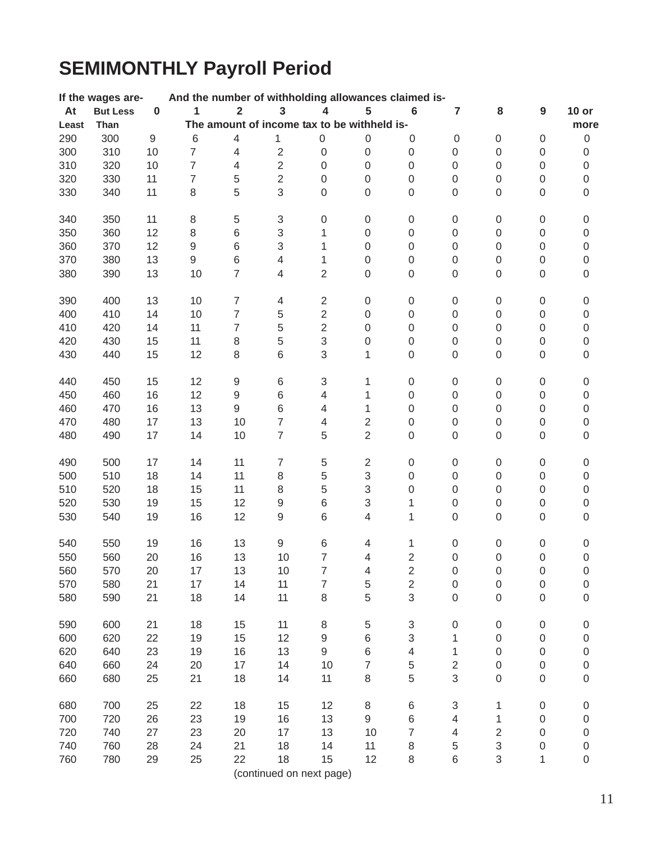# **SEMIMONTHLY Payroll Period**

|       | If the wages are- |          | And the number of withholding allowances claimed is- |                  |                                             |                          |                  |                           |                         |                  |                  |                  |
|-------|-------------------|----------|------------------------------------------------------|------------------|---------------------------------------------|--------------------------|------------------|---------------------------|-------------------------|------------------|------------------|------------------|
| At    | <b>But Less</b>   | $\bf{0}$ | 1                                                    | $\overline{2}$   | 3                                           | 4                        | 5                | $6\phantom{1}6$           | $\overline{\mathbf{r}}$ | 8                | $\boldsymbol{9}$ | $10$ or          |
| Least | Than              |          |                                                      |                  | The amount of income tax to be withheld is- |                          |                  |                           |                         |                  |                  | more             |
| 290   | 300               | 9        | 6                                                    | $\overline{4}$   | 1                                           | $\boldsymbol{0}$         | 0                | 0                         | $\mathbf 0$             | $\boldsymbol{0}$ | $\boldsymbol{0}$ | $\boldsymbol{0}$ |
| 300   | 310               | 10       | $\overline{7}$                                       | 4                | $\overline{2}$                              | $\mathbf 0$              | $\boldsymbol{0}$ | $\boldsymbol{0}$          | 0                       | $\boldsymbol{0}$ | 0                | 0                |
| 310   | 320               | 10       | $\overline{7}$                                       | 4                | $\sqrt{2}$                                  | 0                        | $\boldsymbol{0}$ | $\boldsymbol{0}$          | $\mathbf 0$             | $\boldsymbol{0}$ | $\boldsymbol{0}$ | 0                |
| 320   | 330               | 11       | $\overline{7}$                                       | 5                | $\mathbf 2$                                 | $\boldsymbol{0}$         | $\boldsymbol{0}$ | $\boldsymbol{0}$          | $\mathbf 0$             | $\boldsymbol{0}$ | 0                | 0                |
| 330   | 340               | 11       | $\,8\,$                                              | 5                | 3                                           | $\mathbf 0$              | $\boldsymbol{0}$ | $\boldsymbol{0}$          | $\mathbf 0$             | $\boldsymbol{0}$ | 0                | 0                |
| 340   | 350               | 11       | $\,8\,$                                              | $\,$ 5 $\,$      | $\sqrt{3}$                                  | $\mathbf 0$              | $\boldsymbol{0}$ | $\boldsymbol{0}$          | $\boldsymbol{0}$        | $\mathbf 0$      | 0                | 0                |
| 350   | 360               | 12       | $\,8\,$                                              | 6                | $\,$ 3 $\,$                                 | 1                        | $\boldsymbol{0}$ | $\mathbf 0$               | $\overline{0}$          | 0                | 0                | 0                |
| 360   | 370               | 12       | $\mathsf 9$                                          | 6                | $\sqrt{3}$                                  | 1                        | $\mathbf 0$      | $\overline{0}$            | $\overline{0}$          | 0                | 0                | 0                |
| 370   | 380               | 13       | 9                                                    | 6                | $\overline{4}$                              | 1                        | $\mathbf 0$      | $\overline{0}$            | $\overline{0}$          | 0                | 0                | 0                |
| 380   | 390               | 13       | 10                                                   | $\overline{7}$   | $\overline{4}$                              | $\overline{2}$           | $\boldsymbol{0}$ | $\boldsymbol{0}$          | $\boldsymbol{0}$        | $\boldsymbol{0}$ | 0                | 0                |
| 390   | 400               | 13       | 10                                                   | $\overline{7}$   | $\overline{4}$                              | $\overline{2}$           | $\boldsymbol{0}$ | $\boldsymbol{0}$          | $\boldsymbol{0}$        | $\boldsymbol{0}$ | 0                | 0                |
| 400   | 410               | 14       | 10                                                   | $\overline{7}$   | $\mathbf 5$                                 | $\overline{2}$           | $\boldsymbol{0}$ | $\boldsymbol{0}$          | $\boldsymbol{0}$        | $\boldsymbol{0}$ | $\overline{0}$   | 0                |
| 410   | 420               | 14       | 11                                                   | $\overline{7}$   | 5                                           | $\overline{2}$           | $\boldsymbol{0}$ | $\boldsymbol{0}$          | $\boldsymbol{0}$        | $\mathbf 0$      | 0                | 0                |
| 420   | 430               | 15       | 11                                                   | $\,8\,$          | 5                                           | 3                        | $\boldsymbol{0}$ | $\boldsymbol{0}$          | $\boldsymbol{0}$        | $\boldsymbol{0}$ | 0                | 0                |
| 430   | 440               | 15       | 12                                                   | 8                | 6                                           | 3                        | 1                | $\overline{0}$            | $\mathbf 0$             | 0                | 0                | 0                |
| 440   | 450               | 15       | 12                                                   | $\boldsymbol{9}$ | 6                                           | 3                        | 1                | $\boldsymbol{0}$          | $\boldsymbol{0}$        | $\mathbf 0$      | 0                | 0                |
| 450   | 460               | 16       | 12                                                   | $\mathsf 9$      | $\,$ 6 $\,$                                 | $\overline{\mathcal{L}}$ | 1                | $\boldsymbol{0}$          | $\boldsymbol{0}$        | $\boldsymbol{0}$ | 0                | 0                |
| 460   | 470               | 16       | 13                                                   | $\mathsf g$      | 6                                           | 4                        | 1                | $\boldsymbol{0}$          | $\mathbf 0$             | 0                | 0                | 0                |
| 470   | 480               | 17       | 13                                                   | 10               | $\overline{7}$                              | 4                        | $\overline{2}$   | $\boldsymbol{0}$          | $\boldsymbol{0}$        | $\boldsymbol{0}$ | 0                | $\boldsymbol{0}$ |
| 480   | 490               | 17       | 14                                                   | 10               | $\overline{7}$                              | 5                        | $\overline{2}$   | $\overline{0}$            | 0                       | 0                | 0                | 0                |
| 490   | 500               | 17       | 14                                                   | 11               | $\overline{7}$                              | $\,$ 5 $\,$              | $\overline{2}$   | $\mathbf 0$               | 0                       | $\mathbf 0$      | 0                | 0                |
| 500   | 510               | 18       | 14                                                   | 11               | $\,8\,$                                     | 5                        | 3                | $\mathbf 0$               | $\mathbf 0$             | $\boldsymbol{0}$ | 0                | 0                |
| 510   | 520               | 18       | 15                                                   | 11               | 8                                           | 5                        | 3                | $\overline{0}$            | 0                       | 0                | 0                | 0                |
| 520   | 530               | 19       | 15                                                   | 12               | $\boldsymbol{9}$                            | 6                        | 3                | 1                         | 0                       | 0                | 0                | 0                |
| 530   | 540               | 19       | 16                                                   | 12               | $\hbox{9}$                                  | 6                        | 4                | 1                         | 0                       | $\boldsymbol{0}$ | 0                | 0                |
| 540   | 550               | 19       | 16                                                   | 13               | $\boldsymbol{9}$                            | 6                        | 4                | 1                         | $\boldsymbol{0}$        | $\boldsymbol{0}$ | 0                | 0                |
| 550   | 560               | 20       | 16                                                   | 13               | 10                                          | $\overline{7}$           | 4                | $\overline{2}$            | $\mathbf 0$             | $\mathbf 0$      | $\overline{0}$   | 0                |
| 560   | 570               | 20       | 17                                                   | 13               | 10                                          | 7                        | 4                | $\overline{2}$            | $\mathbf 0$             | $\mathbf 0$      | $\overline{0}$   | 0                |
| 570   | 580               | 21       | 17                                                   | 14               | 11                                          | 7                        | 5                | $\overline{2}$            | $\boldsymbol{0}$        | 0                | $\boldsymbol{0}$ | 0                |
| 580   | 590               | 21       | 18                                                   | 14               | 11                                          | 8                        | 5                | $\mathfrak{S}$            | $\mathbf 0$             | 0                | 0                | 0                |
| 590   | 600               | 21       | 18                                                   | 15               | 11                                          | 8                        | 5                | $\ensuremath{\mathsf{3}}$ | $\boldsymbol{0}$        | $\boldsymbol{0}$ | 0                | 0                |
| 600   | 620               | 22       | 19                                                   | 15               | 12                                          | $\boldsymbol{9}$         | 6                | 3                         | 1                       | $\boldsymbol{0}$ | $\boldsymbol{0}$ | 0                |
| 620   | 640               | 23       | 19                                                   | 16               | 13                                          | $\hbox{9}$               | 6                | 4                         | 1                       | $\boldsymbol{0}$ | 0                | 0                |
| 640   | 660               | 24       | 20                                                   | 17               | 14                                          | 10                       | 7                | 5                         | 2                       | $\boldsymbol{0}$ | 0                | 0                |
| 660   | 680               | 25       | 21                                                   | 18               | 14                                          | 11                       | $\,8\,$          | 5                         | $\mathfrak{S}$          | $\boldsymbol{0}$ | 0                | 0                |
| 680   | 700               | 25       | 22                                                   | 18               | 15                                          | 12                       | 8                | 6                         | 3                       | 1                | $\overline{0}$   | 0                |
| 700   | 720               | 26       | 23                                                   | 19               | 16                                          | 13                       | 9                | 6                         | 4                       | 1                | 0                | 0                |
| 720   | 740               | 27       | 23                                                   | 20               | 17                                          | 13                       | 10               | 7                         | 4                       | $\overline{2}$   | 0                | 0                |
| 740   | 760               | 28       | 24                                                   | 21               | 18                                          | 14                       | 11               | 8                         | 5                       | 3                | $\boldsymbol{0}$ | 0                |
| 760   | 780               | 29       | 25                                                   | 22               | 18                                          | 15                       | 12               | 8                         | 6                       | 3                | 1                | 0                |
|       |                   |          |                                                      |                  | (continued on next page)                    |                          |                  |                           |                         |                  |                  |                  |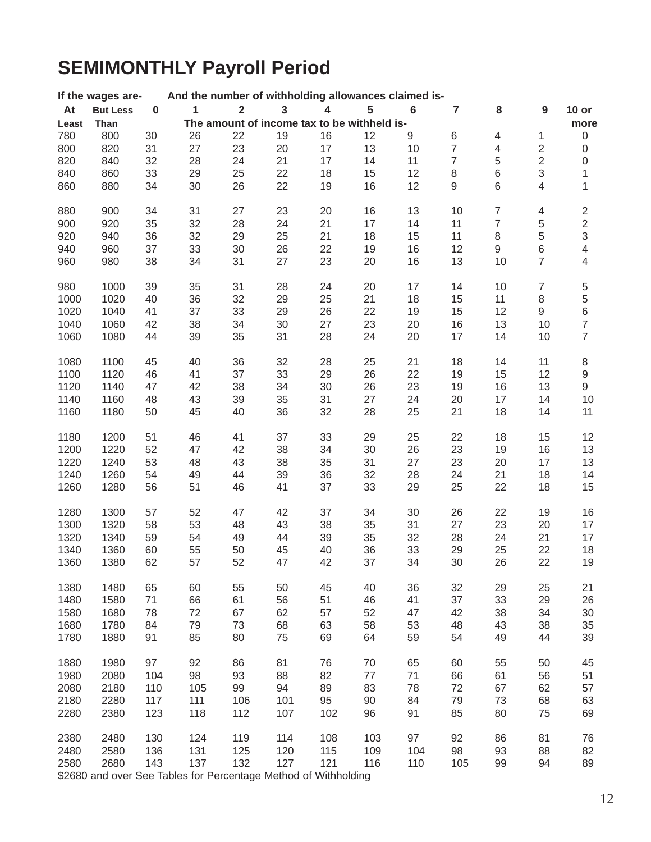# **SEMIMONTHLY Payroll Period**

|       | If the wages are-                                               |           |     |                         |                         | And the number of withholding allowances claimed is- |                                             |                  |                |                          |                  |                                       |
|-------|-----------------------------------------------------------------|-----------|-----|-------------------------|-------------------------|------------------------------------------------------|---------------------------------------------|------------------|----------------|--------------------------|------------------|---------------------------------------|
| At    | <b>But Less</b>                                                 | $\pmb{0}$ | 1   | $\overline{\mathbf{2}}$ | $\overline{\mathbf{3}}$ | 4                                                    | 5                                           | $\bf 6$          | 7              | 8                        | $\boldsymbol{9}$ | $10$ or                               |
| Least | Than                                                            |           |     |                         |                         |                                                      | The amount of income tax to be withheld is- |                  |                |                          |                  | more                                  |
| 780   | 800                                                             | 30        | 26  | 22                      | 19                      | 16                                                   | 12                                          | $\boldsymbol{9}$ | 6              | $\overline{\mathcal{A}}$ | 1                | $\mathbf 0$                           |
| 800   | 820                                                             | 31        | 27  | 23                      | 20                      | 17                                                   | 13                                          | 10               | $\overline{7}$ | $\overline{4}$           | $\sqrt{2}$       | $\boldsymbol{0}$                      |
| 820   | 840                                                             | 32        | 28  | 24                      | 21                      | 17                                                   | 14                                          | 11               | $\overline{7}$ | $\,$ 5 $\,$              | $\mathbf 2$      | $\boldsymbol{0}$                      |
| 840   | 860                                                             | 33        | 29  | 25                      | 22                      | 18                                                   | 15                                          | 12               | $\,8\,$        | $\,$ 6 $\,$              | 3                | 1                                     |
| 860   | 880                                                             | 34        | 30  | 26                      | 22                      | 19                                                   | 16                                          | 12               | $\hbox{9}$     | 6                        | 4                | 1                                     |
|       |                                                                 |           |     |                         |                         |                                                      |                                             |                  |                |                          |                  |                                       |
| 880   | 900                                                             | 34        | 31  | 27                      | 23                      | 20                                                   | 16                                          | 13               | 10             | $\boldsymbol{7}$         | 4                | $\overline{\mathbf{c}}$               |
| 900   | 920                                                             | 35        | 32  | 28                      | 24                      | 21                                                   | 17                                          | 14               | 11             | $\overline{\mathcal{I}}$ | 5                | $\overline{c}$                        |
| 920   | 940                                                             | 36        | 32  | 29                      | 25                      | 21                                                   | 18                                          | 15               | 11             | $\,8\,$                  | 5                | $\,3$                                 |
| 940   | 960                                                             | 37        | 33  | 30                      | 26                      | 22                                                   | 19                                          | 16               | 12             | $\boldsymbol{9}$         | $\,$ 6 $\,$      | $\overline{\mathbf{4}}$               |
| 960   | 980                                                             | 38        | 34  | 31                      | 27                      | 23                                                   | 20                                          | 16               | 13             | 10                       | $\overline{7}$   | 4                                     |
| 980   | 1000                                                            | 39        | 35  | 31                      | 28                      | 24                                                   | 20                                          | 17               | 14             | 10                       | $\boldsymbol{7}$ | 5                                     |
| 1000  | 1020                                                            | 40        | 36  | 32                      | 29                      | 25                                                   | 21                                          | 18               | 15             | 11                       | $\,8\,$          |                                       |
|       |                                                                 |           |     |                         |                         |                                                      |                                             |                  |                |                          |                  | $\begin{array}{c} 5 \\ 6 \end{array}$ |
| 1020  | 1040                                                            | 41        | 37  | 33                      | 29                      | 26                                                   | 22                                          | 19               | 15             | 12                       | 9                |                                       |
| 1040  | 1060                                                            | 42        | 38  | 34                      | 30                      | 27                                                   | 23                                          | 20               | 16             | 13                       | 10               | $\overline{\mathcal{I}}$              |
| 1060  | 1080                                                            | 44        | 39  | 35                      | 31                      | 28                                                   | 24                                          | 20               | 17             | 14                       | 10               | $\overline{7}$                        |
| 1080  | 1100                                                            | 45        | 40  | 36                      | 32                      | 28                                                   | 25                                          | 21               | 18             | 14                       | 11               | $\,8\,$                               |
| 1100  | 1120                                                            | 46        | 41  | 37                      | 33                      | 29                                                   | 26                                          | 22               | 19             | 15                       | 12               | $\hbox{9}$                            |
| 1120  | 1140                                                            | 47        | 42  | 38                      | 34                      | 30                                                   | 26                                          | 23               | 19             | 16                       | 13               | $\hbox{9}$                            |
| 1140  | 1160                                                            | 48        | 43  | 39                      | 35                      | 31                                                   | 27                                          | 24               | 20             | 17                       | 14               | 10                                    |
| 1160  | 1180                                                            | 50        | 45  | 40                      | 36                      | 32                                                   | 28                                          | 25               | 21             | 18                       | 14               | 11                                    |
|       |                                                                 |           |     |                         |                         |                                                      |                                             |                  |                |                          |                  |                                       |
| 1180  | 1200                                                            | 51        | 46  | 41                      | 37                      | 33                                                   | 29                                          | 25               | 22             | 18                       | 15               | 12                                    |
| 1200  | 1220                                                            | 52        | 47  | 42                      | 38                      | 34                                                   | 30                                          | 26               | 23             | 19                       | 16               | 13                                    |
| 1220  | 1240                                                            | 53        | 48  | 43                      | 38                      | 35                                                   | 31                                          | 27               | 23             | 20                       | 17               | 13                                    |
| 1240  | 1260                                                            | 54        | 49  | 44                      | 39                      | 36                                                   | 32                                          | 28               | 24             | 21                       | 18               | 14                                    |
| 1260  | 1280                                                            | 56        | 51  | 46                      | 41                      | 37                                                   | 33                                          | 29               | 25             | 22                       | 18               | 15                                    |
| 1280  | 1300                                                            | 57        | 52  | 47                      | 42                      | 37                                                   | 34                                          | 30               | 26             | 22                       | 19               | 16                                    |
| 1300  | 1320                                                            | 58        | 53  | 48                      | 43                      | 38                                                   | 35                                          | 31               | 27             | 23                       | 20               | 17                                    |
| 1320  | 1340                                                            | 59        | 54  | 49                      | 44                      | 39                                                   | 35                                          | 32               | 28             | 24                       | 21               | 17                                    |
| 1340  | 1360                                                            | 60        | 55  | 50                      | 45                      | 40                                                   |                                             |                  | 29             | 25                       | 22               | 18                                    |
| 1360  |                                                                 | 62        | 57  | 52                      | 47                      |                                                      | 36<br>37                                    | 33<br>34         |                |                          | 22               |                                       |
|       | 1380                                                            |           |     |                         |                         | 42                                                   |                                             |                  | 30             | 26                       |                  | 19                                    |
| 1380  | 1480                                                            | 65        | 60  | 55                      | 50                      | 45                                                   | 40                                          | 36               | 32             | 29                       | 25               | 21                                    |
| 1480  | 1580                                                            | 71        | 66  | 61                      | 56                      | 51                                                   | 46                                          | 41               | 37             | 33                       | 29               | 26                                    |
| 1580  | 1680                                                            | 78        | 72  | 67                      | 62                      | 57                                                   | 52                                          | 47               | 42             | 38                       | 34               | 30                                    |
| 1680  | 1780                                                            | 84        | 79  | 73                      | 68                      | 63                                                   | 58                                          | 53               | 48             | 43                       | 38               | 35                                    |
| 1780  | 1880                                                            | 91        | 85  | 80                      | 75                      | 69                                                   | 64                                          | 59               | 54             | 49                       | 44               | 39                                    |
| 1880  | 1980                                                            | 97        | 92  | 86                      | 81                      | 76                                                   | 70                                          | 65               | 60             | 55                       | 50               | 45                                    |
| 1980  | 2080                                                            | 104       | 98  | 93                      | 88                      | 82                                                   | 77                                          | 71               | 66             | 61                       | 56               | 51                                    |
|       |                                                                 |           |     |                         |                         |                                                      |                                             |                  |                |                          |                  |                                       |
| 2080  | 2180                                                            | 110       | 105 | 99                      | 94                      | 89                                                   | 83                                          | 78               | 72             | 67                       | 62               | 57                                    |
| 2180  | 2280                                                            | 117       | 111 | 106                     | 101                     | 95                                                   | 90                                          | 84               | 79             | 73                       | 68               | 63                                    |
| 2280  | 2380                                                            | 123       | 118 | 112                     | 107                     | 102                                                  | 96                                          | 91               | 85             | 80                       | 75               | 69                                    |
| 2380  | 2480                                                            | 130       | 124 | 119                     | 114                     | 108                                                  | 103                                         | 97               | 92             | 86                       | 81               | 76                                    |
| 2480  | 2580                                                            | 136       | 131 | 125                     | 120                     | 115                                                  | 109                                         | 104              | 98             | 93                       | 88               | 82                                    |
| 2580  | 2680                                                            | 143       | 137 | 132                     | 127                     | 121                                                  | 116                                         | 110              | 105            | 99                       | 94               | 89                                    |
|       | \$2680 and over See Tables for Percentage Method of Withholding |           |     |                         |                         |                                                      |                                             |                  |                |                          |                  |                                       |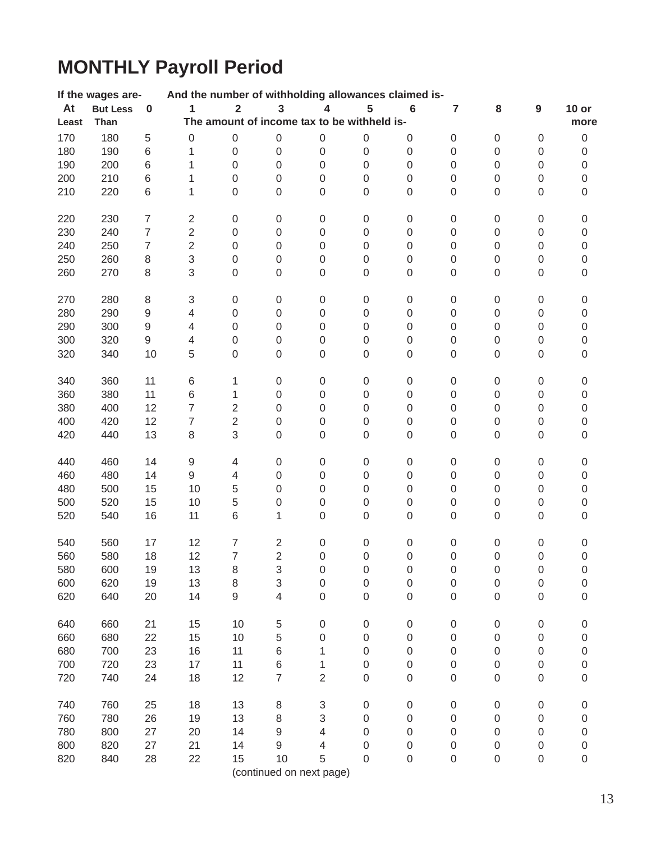# **MONTHLY Payroll Period**

|       | If the wages are- |                  | And the number of withholding allowances claimed is- |                         |                           |                           |                                             |                  |                  |                  |                  |                  |
|-------|-------------------|------------------|------------------------------------------------------|-------------------------|---------------------------|---------------------------|---------------------------------------------|------------------|------------------|------------------|------------------|------------------|
| At    | <b>But Less</b>   | $\pmb{0}$        | $\mathbf{1}$                                         | $\overline{\mathbf{2}}$ | $\overline{\mathbf{3}}$   | 4                         | 5                                           | $\bf 6$          | $\overline{7}$   | ${\bf 8}$        | 9                | $10$ or          |
| Least | Than              |                  |                                                      |                         |                           |                           | The amount of income tax to be withheld is- |                  |                  |                  |                  | more             |
| 170   | 180               | 5                | $\mathbf 0$                                          | $\boldsymbol{0}$        | $\boldsymbol{0}$          | $\boldsymbol{0}$          | $\mathbf 0$                                 | $\boldsymbol{0}$ | $\boldsymbol{0}$ | 0                | $\boldsymbol{0}$ | $\boldsymbol{0}$ |
| 180   | 190               | 6                | 1                                                    | $\boldsymbol{0}$        | $\boldsymbol{0}$          | $\boldsymbol{0}$          | $\mathbf 0$                                 | $\boldsymbol{0}$ | $\boldsymbol{0}$ | 0                | $\boldsymbol{0}$ | $\boldsymbol{0}$ |
| 190   | 200               | 6                | 1                                                    | $\boldsymbol{0}$        | $\boldsymbol{0}$          | $\boldsymbol{0}$          | $\mathbf 0$                                 | $\boldsymbol{0}$ | 0                | 0                | 0                | $\boldsymbol{0}$ |
| 200   | 210               | 6                | 1                                                    | $\boldsymbol{0}$        | $\mathbf 0$               | $\boldsymbol{0}$          | $\mathbf 0$                                 | $\boldsymbol{0}$ | 0                | $\mathsf 0$      | 0                | $\boldsymbol{0}$ |
| 210   | 220               | 6                | 1                                                    | $\boldsymbol{0}$        | $\boldsymbol{0}$          | $\mbox{O}$                | 0                                           | $\boldsymbol{0}$ | 0                | $\mathsf 0$      | 0                | 0                |
|       |                   |                  |                                                      |                         |                           |                           |                                             |                  |                  |                  |                  |                  |
| 220   | 230               | $\boldsymbol{7}$ | $\sqrt{2}$                                           | $\,0\,$                 | $\boldsymbol{0}$          | $\boldsymbol{0}$          | $\boldsymbol{0}$                            | $\boldsymbol{0}$ | $\boldsymbol{0}$ | 0                | 0                | $\boldsymbol{0}$ |
| 230   | 240               | $\overline{7}$   | $\mathbf 2$                                          | $\boldsymbol{0}$        | $\boldsymbol{0}$          | $\boldsymbol{0}$          | $\mathbf 0$                                 | $\boldsymbol{0}$ | $\boldsymbol{0}$ | 0                | $\boldsymbol{0}$ | $\boldsymbol{0}$ |
| 240   | 250               | $\overline{7}$   | $\overline{2}$                                       | $\boldsymbol{0}$        | $\boldsymbol{0}$          | $\boldsymbol{0}$          | $\mathbf 0$                                 | $\boldsymbol{0}$ | 0                | 0                | $\boldsymbol{0}$ | $\boldsymbol{0}$ |
| 250   | 260               | 8                | 3                                                    | $\boldsymbol{0}$        | $\boldsymbol{0}$          | $\boldsymbol{0}$          | 0                                           | $\boldsymbol{0}$ | 0                | 0                | 0                | $\boldsymbol{0}$ |
| 260   | 270               | 8                | 3                                                    | $\boldsymbol{0}$        | $\boldsymbol{0}$          | $\boldsymbol{0}$          | $\mathbf 0$                                 | $\boldsymbol{0}$ | 0                | 0                | $\boldsymbol{0}$ | $\boldsymbol{0}$ |
|       |                   |                  |                                                      |                         |                           |                           |                                             |                  |                  |                  |                  |                  |
| 270   | 280               | $\,8\,$          | $\ensuremath{\mathsf{3}}$                            | $\boldsymbol{0}$        | $\boldsymbol{0}$          | $\boldsymbol{0}$          | $\boldsymbol{0}$                            | $\pmb{0}$        | $\boldsymbol{0}$ | 0                | 0                | $\boldsymbol{0}$ |
| 280   | 290               | $\hbox{9}$       | $\overline{4}$                                       | $\,0\,$                 | $\boldsymbol{0}$          | $\boldsymbol{0}$          | $\,0\,$                                     | $\,0\,$          | $\,0\,$          | $\mathsf 0$      | $\mathsf 0$      | $\mathbf 0$      |
| 290   | 300               | $\hbox{9}$       | $\overline{\mathcal{A}}$                             | $\boldsymbol{0}$        | $\boldsymbol{0}$          | $\boldsymbol{0}$          | $\,0\,$                                     | $\mathbf 0$      | $\boldsymbol{0}$ | 0                | $\mathsf 0$      | $\,0\,$          |
| 300   | 320               | 9                | $\overline{4}$                                       | $\boldsymbol{0}$        | $\boldsymbol{0}$          | $\boldsymbol{0}$          | $\mathbf 0$                                 | $\boldsymbol{0}$ | 0                | 0                | 0                | $\boldsymbol{0}$ |
| 320   | 340               | 10               | 5                                                    | $\boldsymbol{0}$        | $\mathbf 0$               | $\mathbf 0$               | $\mathbf 0$                                 | $\mathbf 0$      | 0                | 0                | 0                | 0                |
|       |                   |                  |                                                      |                         |                           |                           |                                             |                  |                  |                  |                  |                  |
| 340   | 360               | 11               | 6                                                    | 1                       | $\boldsymbol{0}$          | $\boldsymbol{0}$          | $\boldsymbol{0}$                            | $\boldsymbol{0}$ | $\boldsymbol{0}$ | 0                | 0                | 0                |
| 360   | 380               | 11               | $\,$ 6 $\,$                                          | 1                       | $\boldsymbol{0}$          | $\boldsymbol{0}$          | $\boldsymbol{0}$                            | $\boldsymbol{0}$ | $\boldsymbol{0}$ | 0                | $\boldsymbol{0}$ | $\boldsymbol{0}$ |
| 380   | 400               | 12               | $\overline{7}$                                       | $\sqrt{2}$              | $\mathbf 0$               | $\boldsymbol{0}$          | $\mathbf 0$                                 | $\boldsymbol{0}$ | $\boldsymbol{0}$ | 0                | 0                | $\boldsymbol{0}$ |
| 400   | 420               | 12               | $\overline{7}$                                       | $\sqrt{2}$              | $\boldsymbol{0}$          | $\boldsymbol{0}$          | $\boldsymbol{0}$                            | $\boldsymbol{0}$ | 0                | 0                | 0                | $\boldsymbol{0}$ |
| 420   | 440               | 13               | $\,8\,$                                              | 3                       | $\boldsymbol{0}$          | $\mbox{O}$                | 0                                           | $\mathsf 0$      | 0                | 0                | 0                | $\boldsymbol{0}$ |
|       |                   |                  |                                                      |                         |                           |                           |                                             |                  |                  |                  |                  |                  |
| 440   | 460               | 14               | $\boldsymbol{9}$                                     | $\overline{4}$          | $\boldsymbol{0}$          | $\boldsymbol{0}$          | $\boldsymbol{0}$                            | $\boldsymbol{0}$ | $\boldsymbol{0}$ | $\boldsymbol{0}$ | $\boldsymbol{0}$ | $\boldsymbol{0}$ |
| 460   | 480               | 14               | 9                                                    | $\overline{4}$          | $\boldsymbol{0}$          | $\boldsymbol{0}$          | $\mathbf 0$                                 | $\boldsymbol{0}$ | $\boldsymbol{0}$ | 0                | $\boldsymbol{0}$ | $\boldsymbol{0}$ |
| 480   | 500               | 15               | 10                                                   | 5                       | $\mathbf 0$               | $\mathbf 0$               | $\mathbf 0$                                 | $\boldsymbol{0}$ | 0                | 0                | $\boldsymbol{0}$ | $\boldsymbol{0}$ |
| 500   | 520               | 15               | 10                                                   | 5                       | $\mathbf 0$               | $\boldsymbol{0}$          | $\mathbf 0$                                 | $\boldsymbol{0}$ | 0                | 0                | 0                | $\boldsymbol{0}$ |
| 520   | 540               | 16               | 11                                                   | 6                       | 1                         | $\mathbf 0$               | 0                                           | $\mathbf 0$      | 0                | 0                | 0                | 0                |
|       |                   |                  |                                                      |                         |                           |                           |                                             |                  |                  |                  |                  |                  |
| 540   | 560               | 17               | 12                                                   | $\overline{7}$          | $\overline{\mathbf{c}}$   | $\boldsymbol{0}$          | $\boldsymbol{0}$                            | $\pmb{0}$        | $\boldsymbol{0}$ | 0                | 0                | 0                |
| 560   | 580               | 18               | 12                                                   | $\overline{7}$          | $\overline{2}$            | $\mathbf 0$               | $\boldsymbol{0}$                            | $\boldsymbol{0}$ | $\boldsymbol{0}$ | 0                | $\boldsymbol{0}$ | $\,0\,$          |
| 580   | 600               | 19               | 13                                                   | 8                       | 3                         | $\mathbf 0$               | $\mathsf{O}\xspace$                         | $\mathbf 0$      | $\mathbf 0$      | 0                | 0                | $\mathbf 0$      |
| 600   | 620               | 19               | 13                                                   | $\,8\,$                 | $\ensuremath{\mathsf{3}}$ | 0                         | $\mathbf 0$                                 | $\mathbf 0$      | 0                | 0                | 0                | 0                |
| 620   | 640               | 20               | 14                                                   | $\hbox{9}$              | 4                         | $\mathbf 0$               | 0                                           | $\mathbf 0$      | 0                | 0                | 0                | 0                |
|       |                   |                  |                                                      |                         |                           |                           |                                             |                  |                  |                  |                  |                  |
| 640   | 660               | 21               | 15                                                   | 10                      | $\,$ 5 $\,$               | $\boldsymbol{0}$          | $\boldsymbol{0}$                            | 0                | 0                | 0                | 0                | $\boldsymbol{0}$ |
| 660   | 680               | 22               | 15                                                   | 10                      | 5                         | 0                         | 0                                           | 0                | 0                | 0                | 0                | 0                |
| 680   | 700               | 23               | 16                                                   | 11                      | 6                         | 1                         | 0                                           | $\boldsymbol{0}$ | 0                | 0                | 0                | 0                |
| 700   | 720               | 23               | 17                                                   | 11                      | $\,$ 6 $\,$               | 1                         | $\boldsymbol{0}$                            | $\boldsymbol{0}$ | 0                | 0                | 0                | 0                |
| 720   | 740               | 24               | 18                                                   | 12                      | $\overline{7}$            | $\overline{2}$            | $\mathbf 0$                                 | $\boldsymbol{0}$ | 0                | 0                | $\boldsymbol{0}$ | $\boldsymbol{0}$ |
|       |                   |                  |                                                      |                         |                           |                           |                                             |                  |                  |                  |                  |                  |
| 740   | 760               | 25               | 18                                                   | 13                      | $\,8\,$                   | $\ensuremath{\mathsf{3}}$ | $\boldsymbol{0}$                            | $\boldsymbol{0}$ | $\boldsymbol{0}$ | 0                | $\boldsymbol{0}$ | 0                |
| 760   | 780               | 26               | 19                                                   | 13                      | $\,8\,$                   | 3                         | 0                                           | $\boldsymbol{0}$ | 0                | 0                | 0                | 0                |
| 780   | 800               | 27               | 20                                                   | 14                      | 9                         | 4                         | 0                                           | 0                | 0                | 0                | 0                | 0                |
| 800   | 820               | 27               | 21                                                   | 14                      | 9                         | 4                         | 0                                           | 0                | 0                | 0                | 0                | 0                |
| 820   | 840               | 28               | 22                                                   | 15                      | 10                        | 5                         | 0                                           | 0                | 0                | 0                | 0                | 0                |
|       |                   |                  |                                                      |                         |                           | (continued on next page)  |                                             |                  |                  |                  |                  |                  |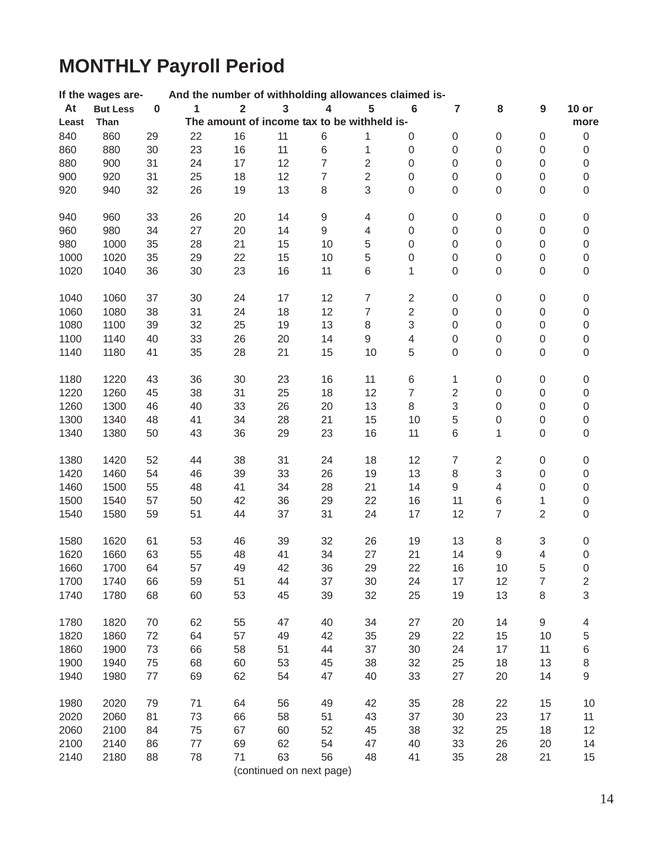# **MONTHLY Payroll Period**

|       | If the wages are- |           | And the number of withholding allowances claimed is- |                         |                                             |                  |                  |                           |                  |                  |                  |                  |
|-------|-------------------|-----------|------------------------------------------------------|-------------------------|---------------------------------------------|------------------|------------------|---------------------------|------------------|------------------|------------------|------------------|
| At    | <b>But Less</b>   | $\pmb{0}$ | 1                                                    | $\overline{\mathbf{2}}$ | 3                                           | 4                | 5                | $6\phantom{1}6$           | 7                | 8                | 9                | $10$ or          |
| Least | Than              |           |                                                      |                         | The amount of income tax to be withheld is- |                  |                  |                           |                  |                  |                  | more             |
| 840   | 860               | 29        | 22                                                   | 16                      | 11                                          | $\,6$            | 1                | 0                         | 0                | 0                | $\boldsymbol{0}$ | $\boldsymbol{0}$ |
| 860   | 880               | 30        | 23                                                   | 16                      | 11                                          | $\,6$            | 1                | $\boldsymbol{0}$          | $\boldsymbol{0}$ | 0                | 0                | $\boldsymbol{0}$ |
| 880   | 900               | 31        | 24                                                   | 17                      | 12                                          | $\overline{7}$   | $\mathbf 2$      | $\boldsymbol{0}$          | $\boldsymbol{0}$ | 0                | 0                | $\boldsymbol{0}$ |
| 900   | 920               | 31        | 25                                                   | 18                      | 12                                          | $\overline{7}$   | $\overline{2}$   | $\boldsymbol{0}$          | $\boldsymbol{0}$ | 0                | 0                | $\boldsymbol{0}$ |
| 920   | 940               | 32        | 26                                                   | 19                      | 13                                          | $\,8\,$          | 3                | $\boldsymbol{0}$          | $\boldsymbol{0}$ | 0                | $\boldsymbol{0}$ | $\boldsymbol{0}$ |
|       |                   |           |                                                      |                         |                                             |                  |                  |                           |                  |                  |                  |                  |
| 940   | 960               | 33        | 26                                                   | 20                      | 14                                          | $\boldsymbol{9}$ | $\overline{4}$   | $\boldsymbol{0}$          | $\boldsymbol{0}$ | 0                | $\boldsymbol{0}$ | $\,0\,$          |
| 960   | 980               | 34        | 27                                                   | 20                      | 14                                          | $\boldsymbol{9}$ | $\overline{4}$   | $\mathbf 0$               | $\boldsymbol{0}$ | 0                | 0                | $\boldsymbol{0}$ |
| 980   | 1000              | 35        | 28                                                   | 21                      | 15                                          | 10               | $\,$ 5 $\,$      | $\boldsymbol{0}$          | 0                | 0                | 0                | $\boldsymbol{0}$ |
| 1000  | 1020              | 35        | 29                                                   | 22                      | 15                                          | 10               | $\,$ 5 $\,$      | $\boldsymbol{0}$          | 0                | 0                | 0                | $\boldsymbol{0}$ |
| 1020  | 1040              | 36        | 30                                                   | 23                      | 16                                          | 11               | $\,6$            | 1                         | $\mathsf 0$      | 0                | $\mathsf 0$      | $\boldsymbol{0}$ |
|       |                   |           |                                                      |                         |                                             |                  |                  |                           |                  |                  |                  |                  |
| 1040  | 1060              | 37        | 30                                                   | 24                      | 17                                          | 12               | $\boldsymbol{7}$ | $\sqrt{2}$                | $\boldsymbol{0}$ | 0                | 0                | $\boldsymbol{0}$ |
| 1060  | 1080              | 38        | 31                                                   | 24                      | 18                                          | 12               | $\overline{7}$   | $\sqrt{2}$                | $\,0\,$          | $\boldsymbol{0}$ | $\boldsymbol{0}$ | $\mathsf 0$      |
| 1080  | 1100              | 39        | 32                                                   | 25                      | 19                                          | 13               | $\,8\,$          | $\ensuremath{\mathsf{3}}$ | $\boldsymbol{0}$ | $\boldsymbol{0}$ | $\boldsymbol{0}$ | $\,0\,$          |
| 1100  | 1140              | 40        | 33                                                   | 26                      | 20                                          | 14               | $\mathsf g$      | $\overline{\mathbf{4}}$   | $\boldsymbol{0}$ | 0                | 0                | $\mathsf 0$      |
| 1140  | 1180              | 41        | 35                                                   | 28                      | 21                                          | 15               | 10               | 5                         | 0                | 0                | $\mathsf 0$      | $\boldsymbol{0}$ |
|       |                   |           |                                                      |                         |                                             |                  |                  |                           |                  |                  |                  |                  |
| 1180  | 1220              | 43        | 36                                                   | 30                      | 23                                          | 16               | 11               | $\,6$                     | 1                | 0                | 0                | $\pmb{0}$        |
| 1220  | 1260              | 45        | 38                                                   | 31                      | 25                                          | 18               | 12               | $\overline{7}$            | $\sqrt{2}$       | $\mathsf 0$      | $\boldsymbol{0}$ | $\mathsf 0$      |
| 1260  | 1300              | 46        | 40                                                   | 33                      | 26                                          | 20               | 13               | $\,8\,$                   | 3                | $\boldsymbol{0}$ | 0                | $\boldsymbol{0}$ |
| 1300  | 1340              | 48        | 41                                                   | 34                      | 28                                          | 21               | 15               | 10                        | 5                | 0                | 0                | $\boldsymbol{0}$ |
| 1340  | 1380              | 50        | 43                                                   | 36                      | 29                                          | 23               | 16               | 11                        | $\,$ 6 $\,$      | 1                | $\boldsymbol{0}$ | $\mathsf 0$      |
|       |                   |           |                                                      |                         |                                             |                  |                  |                           |                  |                  |                  |                  |
| 1380  | 1420              | 52        | 44                                                   | 38                      | 31                                          | 24               | 18               | 12                        | $\boldsymbol{7}$ | $\overline{c}$   | $\boldsymbol{0}$ | $\boldsymbol{0}$ |
| 1420  | 1460              | 54        | 46                                                   | 39                      | 33                                          | 26               | 19               | 13                        | 8                | 3                | 0                | $\boldsymbol{0}$ |
| 1460  | 1500              | 55        | 48                                                   | 41                      | 34                                          | 28               | 21               | 14                        | 9                | $\overline{4}$   | 0                | $\boldsymbol{0}$ |
| 1500  | 1540              | 57        | 50                                                   | 42                      | 36                                          | 29               | 22               | 16                        | 11               | 6                | 1                | $\boldsymbol{0}$ |
| 1540  | 1580              | 59        | 51                                                   | 44                      | 37                                          | 31               | 24               | 17                        | 12               | $\overline{7}$   | $\overline{2}$   | $\boldsymbol{0}$ |
|       |                   |           |                                                      |                         |                                             |                  |                  |                           |                  |                  |                  |                  |
| 1580  | 1620              | 61        | 53                                                   | 46                      | 39                                          | 32               | 26               | 19                        | 13               | 8                | 3                | $\pmb{0}$        |
| 1620  | 1660              | 63        | 55                                                   | 48                      | 41                                          | 34               | 27               | 21                        | 14               | 9                | $\overline{4}$   | $\mathsf 0$      |
| 1660  | 1700              | 64        | 57                                                   | 49                      | 42                                          | 36               | 29               | 22                        | 16               | 10               | 5                | $\mathbf 0$      |
| 1700  | 1740              | 66        | 59                                                   | 51                      | 44                                          | 37               | 30               | 24                        | 17               | 12               | 7                | 2                |
| 1740  | 1780              | 68        | 60                                                   | 53                      | 45                                          | 39               | 32               | 25                        | 19               | 13               | 8                | 3                |
|       |                   |           |                                                      |                         |                                             |                  |                  |                           |                  |                  |                  |                  |
| 1780  | 1820              | 70        | 62                                                   | 55                      | 47                                          | 40               | 34               | 27                        | 20               | 14               | 9                | 4                |
| 1820  | 1860              | 72        | 64                                                   | 57                      | 49                                          | 42               | 35               | 29                        | 22               | 15               | 10               | 5                |
| 1860  | 1900              | 73        | 66                                                   | 58                      | 51                                          | 44               | 37               | 30                        | 24               | 17               | 11               | 6                |
| 1900  | 1940              | 75        | 68                                                   | 60                      | 53                                          | 45               | 38               | 32                        | 25               | 18               | 13               | 8                |
| 1940  | 1980              | 77        | 69                                                   | 62                      | 54                                          | 47               | 40               | 33                        | 27               | 20               | 14               | 9                |
|       |                   |           |                                                      |                         |                                             |                  |                  |                           |                  |                  |                  |                  |
| 1980  | 2020              | 79        | 71                                                   | 64                      | 56                                          | 49               | 42               | 35                        | 28               | 22               | 15               | 10               |
| 2020  | 2060              | 81        | 73                                                   | 66                      | 58                                          | 51               | 43               | 37                        | 30               | 23               | 17               | 11               |
| 2060  | 2100              | 84        | 75                                                   | 67                      | 60                                          | 52               | 45               | 38                        | 32               | 25               | 18               | 12               |
| 2100  | 2140              | 86        | 77                                                   | 69                      | 62                                          | 54               | 47               | 40                        | 33               | 26               | 20               | 14               |
| 2140  | 2180              | 88        | 78                                                   | 71                      | 63                                          | 56               | 48               | 41                        | 35               | 28               | 21               | 15               |
|       |                   |           |                                                      |                         | (continued on next page)                    |                  |                  |                           |                  |                  |                  |                  |
|       |                   |           |                                                      |                         |                                             |                  |                  |                           |                  |                  |                  |                  |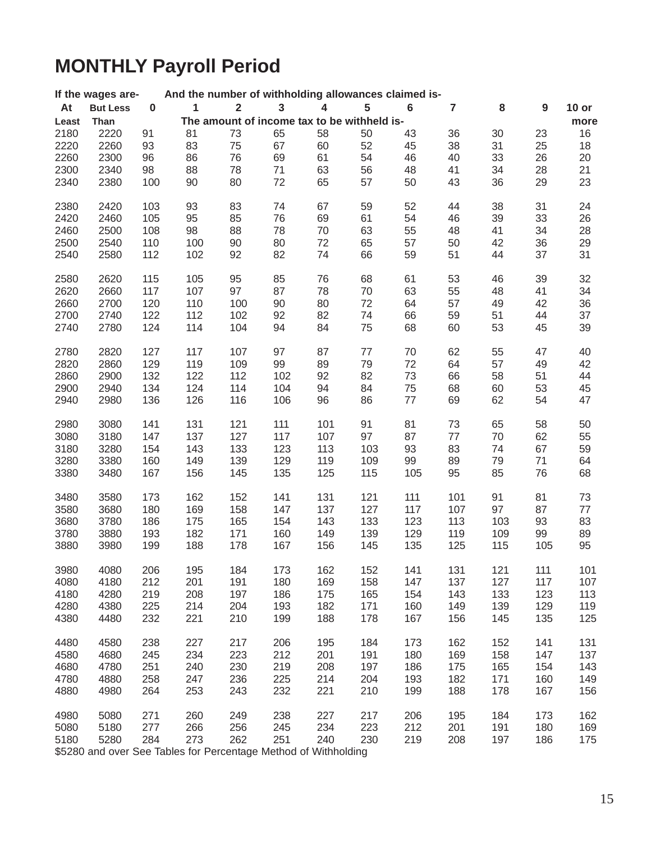# **MONTHLY Payroll Period**

|                  | If the wages are- |           | And the number of withholding allowances claimed is- |                |              |                         |                                             |         |                |     |                  |         |
|------------------|-------------------|-----------|------------------------------------------------------|----------------|--------------|-------------------------|---------------------------------------------|---------|----------------|-----|------------------|---------|
| At               | <b>But Less</b>   | $\pmb{0}$ | 1                                                    | $\overline{2}$ | $\mathbf{3}$ | $\overline{\mathbf{4}}$ | 5                                           | $\bf 6$ | $\overline{7}$ | 8   | $\boldsymbol{9}$ | $10$ or |
| Least            | Than              |           |                                                      |                |              |                         | The amount of income tax to be withheld is- |         |                |     |                  | more    |
| 2180             | 2220              | 91        | 81                                                   | 73             | 65           | 58                      | 50                                          | 43      | 36             | 30  | 23               | 16      |
| 2220             | 2260              | 93        | 83                                                   | 75             | 67           | 60                      | 52                                          | 45      | 38             | 31  | 25               | 18      |
| 2260             | 2300              | 96        | 86                                                   | 76             | 69           | 61                      | 54                                          | 46      | 40             | 33  | 26               | 20      |
| 2300             | 2340              | 98        | 88                                                   | 78             | 71           | 63                      | 56                                          | 48      | 41             | 34  | 28               | 21      |
| 2340             | 2380              | 100       | 90                                                   | 80             | 72           | 65                      | 57                                          | 50      | 43             | 36  | 29               | 23      |
|                  |                   |           |                                                      |                |              |                         |                                             |         |                |     |                  |         |
| 2380             | 2420              | 103       | 93                                                   | 83             | 74           | 67                      | 59                                          | 52      | 44             | 38  | 31               | 24      |
| 2420             | 2460              | 105       | 95                                                   | 85             | 76           | 69                      | 61                                          | 54      | 46             | 39  | 33               | 26      |
| 2460             | 2500              | 108       | 98                                                   | 88             | 78           | 70                      | 63                                          | 55      | 48             | 41  | 34               | 28      |
| 2500             | 2540              | 110       | 100                                                  | 90             | 80           | 72                      | 65                                          | 57      | 50             | 42  | 36               | 29      |
| 2540             | 2580              | 112       | 102                                                  | 92             | 82           | 74                      | 66                                          | 59      | 51             | 44  | 37               | 31      |
|                  |                   |           |                                                      |                |              |                         |                                             |         |                |     |                  |         |
| 2580             | 2620              | 115       | 105                                                  | 95             | 85           | 76                      | 68                                          | 61      | 53             | 46  | 39               | 32      |
| 2620             | 2660              | 117       | 107                                                  | 97             | 87           | 78                      | 70                                          | 63      | 55             | 48  | 41               | 34      |
| 2660             | 2700              | 120       | 110                                                  | 100            | 90           | 80                      | 72                                          | 64      | 57             | 49  | 42               | 36      |
| 2700             | 2740              | 122       | 112                                                  | 102            | 92           | 82                      | 74                                          | 66      | 59             | 51  | 44               | 37      |
| 2740             | 2780              | 124       | 114                                                  | 104            | 94           | 84                      | 75                                          | 68      | 60             | 53  | 45               | 39      |
| 2780             | 2820              | 127       | 117                                                  | 107            | 97           | 87                      | $77$                                        | 70      | 62             | 55  | 47               | 40      |
| 2820             | 2860              | 129       | 119                                                  | 109            | 99           | 89                      | 79                                          | 72      | 64             | 57  | 49               | 42      |
| 2860             | 2900              | 132       | 122                                                  | 112            | 102          | 92                      | 82                                          | 73      | 66             | 58  | 51               | 44      |
| 2900             | 2940              | 134       | 124                                                  | 114            | 104          | 94                      | 84                                          | 75      | 68             | 60  | 53               | 45      |
| 2940             | 2980              | 136       | 126                                                  | 116            | 106          | 96                      | 86                                          | 77      | 69             | 62  | 54               | 47      |
|                  |                   |           |                                                      |                |              |                         |                                             |         |                |     |                  |         |
| 2980             | 3080              | 141       | 131                                                  | 121            | 111          | 101                     | 91                                          | 81      | 73             | 65  | 58               | 50      |
| 3080             | 3180              | 147       | 137                                                  | 127            | 117          | 107                     | 97                                          | 87      | 77             | 70  | 62               | 55      |
| 3180             | 3280              | 154       | 143                                                  | 133            | 123          | 113                     | 103                                         | 93      | 83             | 74  | 67               | 59      |
| 3280             | 3380              | 160       | 149                                                  | 139            | 129          | 119                     | 109                                         | 99      | 89             | 79  | 71               | 64      |
| 3380             | 3480              | 167       | 156                                                  | 145            | 135          | 125                     | 115                                         | 105     | 95             | 85  | 76               | 68      |
| 3480             | 3580              | 173       | 162                                                  | 152            | 141          | 131                     | 121                                         | 111     | 101            | 91  | 81               | 73      |
| 3580             | 3680              | 180       | 169                                                  | 158            | 147          | 137                     | 127                                         | 117     | 107            | 97  | 87               | $77$    |
| 3680             | 3780              | 186       | 175                                                  | 165            | 154          | 143                     | 133                                         | 123     | 113            | 103 | 93               | 83      |
| 3780             | 3880              | 193       | 182                                                  | 171            | 160          | 149                     | 139                                         | 129     | 119            | 109 | 99               | 89      |
| 3880             | 3980              | 199       | 188                                                  | 178            | 167          | 156                     | 145                                         | 135     | 125            | 115 | 105              | 95      |
|                  |                   |           |                                                      |                |              |                         |                                             |         |                |     |                  |         |
| 3980             | 4080              | 206       | 195                                                  | 184            | 173          | 162                     | 152                                         | 141     | 131            | 121 | 111              | 101     |
| 4080             | 4180              | 212       | 201                                                  | 191            | 180          | 169                     | 158                                         | 147     | 137            | 127 | 117              | 107     |
| 4180             | 4280              | 219       | 208                                                  | 197            | 186          | 175                     | 165                                         | 154     | 143            | 133 | 123              | 113     |
| 4280             | 4380              | 225       | 214                                                  | 204            | 193          | 182                     | 171                                         | 160     | 149            | 139 | 129              | 119     |
| 4380             | 4480              | 232       | 221                                                  | 210            | 199          | 188                     | 178                                         | 167     | 156            | 145 | 135              | 125     |
| 4480             | 4580              | 238       | 227                                                  | 217            | 206          | 195                     | 184                                         | 173     | 162            | 152 | 141              | 131     |
| 4580             | 4680              | 245       | 234                                                  | 223            | 212          | 201                     | 191                                         | 180     | 169            | 158 | 147              | 137     |
| 4680             | 4780              | 251       | 240                                                  | 230            | 219          | 208                     | 197                                         | 186     | 175            | 165 | 154              | 143     |
| 4780             | 4880              | 258       | 247                                                  | 236            | 225          | 214                     | 204                                         | 193     | 182            | 171 | 160              | 149     |
| 4880             | 4980              | 264       | 253                                                  | 243            | 232          | 221                     | 210                                         | 199     | 188            | 178 | 167              | 156     |
|                  |                   |           |                                                      |                |              |                         |                                             |         |                |     |                  |         |
| 4980             | 5080              | 271       | 260                                                  | 249            | 238          | 227                     | 217                                         | 206     | 195            | 184 | 173              | 162     |
| 5080             | 5180              | 277       | 266                                                  | 256            | 245          | 234                     | 223                                         | 212     | 201            | 191 | 180              | 169     |
| 5180             | 5280              | 284       | 273                                                  | 262            | 251          | 240                     | 230                                         | 219     | 208            | 197 | 186              | 175     |
| $0.5000 - 0.500$ |                   |           |                                                      |                |              | $\sim$ f $M$ ithholdina |                                             |         |                |     |                  |         |

\$5280 and over See Tables for Percentage Method of Withholding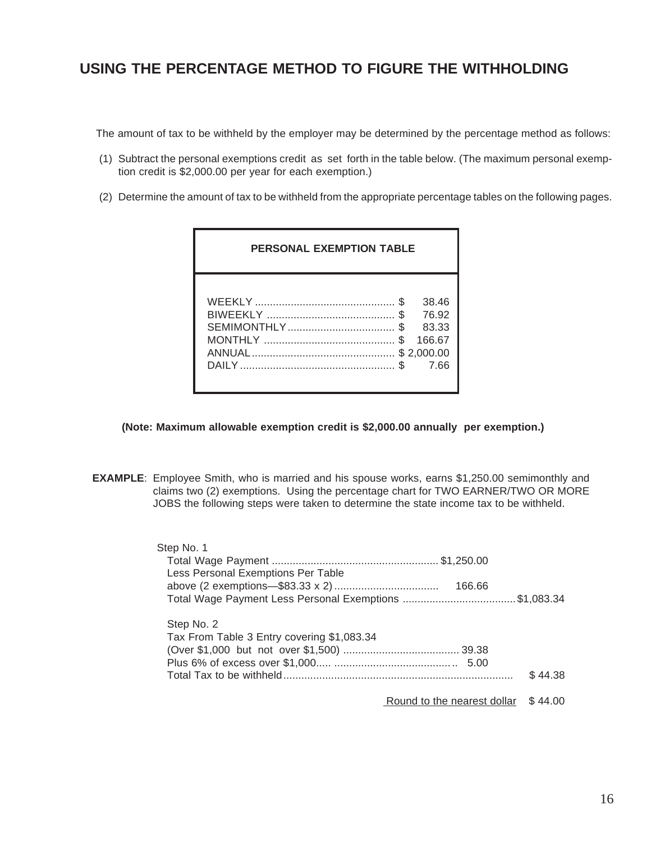## **USING THE PERCENTAGE METHOD TO FIGURE THE WITHHOLDING**

The amount of tax to be withheld by the employer may be determined by the percentage method as follows:

- (1) Subtract the personal exemptions credit as set forth in the table below. (The maximum personal exemption credit is \$2,000.00 per year for each exemption.)
- (2) Determine the amount of tax to be withheld from the appropriate percentage tables on the following pages.

| <b>PERSONAL EXEMPTION TABLE</b> |           |                                                         |
|---------------------------------|-----------|---------------------------------------------------------|
|                                 | \$<br>\$. | 38.46<br>76.92<br>83.33<br>166.67<br>\$2.000.00<br>7.66 |

**(Note: Maximum allowable exemption credit is \$2,000.00 annually per exemption.)**

 **EXAMPLE**: Employee Smith, who is married and his spouse works, earns \$1,250.00 semimonthly and claims two (2) exemptions. Using the percentage chart for TWO EARNER/TWO OR MORE JOBS the following steps were taken to determine the state income tax to be withheld.

| Step No. 1                                             |         |
|--------------------------------------------------------|---------|
|                                                        |         |
| Less Personal Exemptions Per Table                     |         |
| 166.66                                                 |         |
| Total Wage Payment Less Personal Exemptions \$1,083.34 |         |
| Step No. 2                                             |         |
| Tax From Table 3 Entry covering \$1,083.34             |         |
|                                                        |         |
|                                                        |         |
|                                                        | \$44.38 |
| Round to the nearest dollar                            | \$44.00 |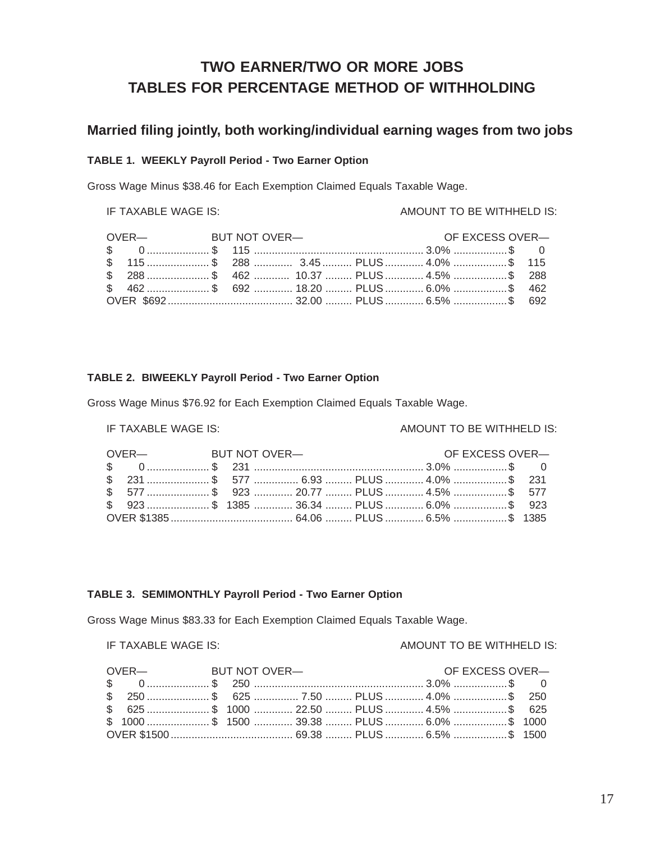## **TWO EARNER/TWO OR MORE JOBS TABLES FOR PERCENTAGE METHOD OF WITHHOLDING**

### **Married filing jointly, both working/individual earning wages from two jobs**

### **TABLE 1. WEEKLY Payroll Period - Two Earner Option**

Gross Wage Minus \$38.46 for Each Exemption Claimed Equals Taxable Wage.

### IF TAXABLE WAGE IS: AMOUNT TO BE WITHHELD IS:

| OVER-<br>BUT NOT OVER-                  |  |  | OF EXCESS OVER- |  |
|-----------------------------------------|--|--|-----------------|--|
|                                         |  |  |                 |  |
|                                         |  |  |                 |  |
| \$ 288 \$ 462  10.37  PLUS  4.5% \$ 288 |  |  |                 |  |
|                                         |  |  |                 |  |
|                                         |  |  |                 |  |

### **TABLE 2. BIWEEKLY Payroll Period - Two Earner Option**

Gross Wage Minus \$76.92 for Each Exemption Claimed Equals Taxable Wage.

### IF TAXABLE WAGE IS: AMOUNT TO BE WITHHELD IS:

| OVER-BUT NOT OVER-                             |  |  |  | OF EXCESS OVER- |  |
|------------------------------------------------|--|--|--|-----------------|--|
|                                                |  |  |  |                 |  |
|                                                |  |  |  |                 |  |
| \$577 \$923  20.77  PLUS  4.5% \$577           |  |  |  |                 |  |
| \$\, 923 \$\, 1385  36.34  PLUS  6.0% \$\, 923 |  |  |  |                 |  |
|                                                |  |  |  |                 |  |

### **TABLE 3. SEMIMONTHLY Payroll Period - Two Earner Option**

Gross Wage Minus \$83.33 for Each Exemption Claimed Equals Taxable Wage.

### IF TAXABLE WAGE IS: AMOUNT TO BE WITHHELD IS:

| OVER— BUT NOT OVER— |  |                                         |  | OF EXCESS OVER- |  |
|---------------------|--|-----------------------------------------|--|-----------------|--|
|                     |  |                                         |  |                 |  |
|                     |  | \$ 250 \$ 625  7.50  PLUS  4.0% \$ 250  |  |                 |  |
|                     |  |                                         |  |                 |  |
|                     |  | \$1000 \$1500  39.38  PLUS  6.0% \$1000 |  |                 |  |
|                     |  |                                         |  |                 |  |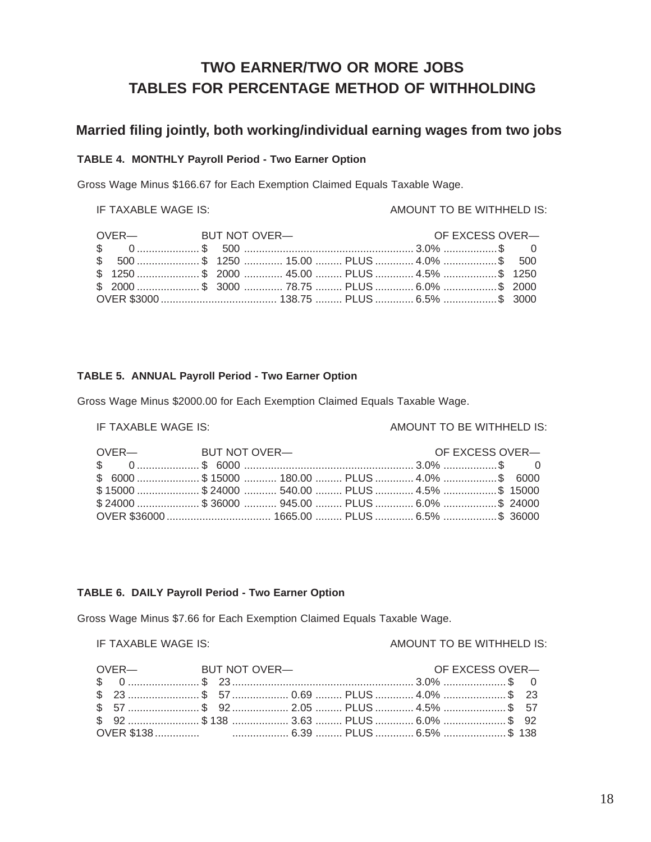## **TWO EARNER/TWO OR MORE JOBS TABLES FOR PERCENTAGE METHOD OF WITHHOLDING**

### **Married filing jointly, both working/individual earning wages from two jobs**

### **TABLE 4. MONTHLY Payroll Period - Two Earner Option**

Gross Wage Minus \$166.67 for Each Exemption Claimed Equals Taxable Wage.

### IF TAXABLE WAGE IS: AMOUNT TO BE WITHHELD IS:

|  |  | OVER— BUT NOT OVER— |  | OF EXCESS OVER- |  |
|--|--|---------------------|--|-----------------|--|
|  |  |                     |  |                 |  |
|  |  |                     |  |                 |  |
|  |  |                     |  |                 |  |
|  |  |                     |  |                 |  |
|  |  |                     |  |                 |  |

### **TABLE 5. ANNUAL Payroll Period - Two Earner Option**

Gross Wage Minus \$2000.00 for Each Exemption Claimed Equals Taxable Wage.

### IF TAXABLE WAGE IS: AMOUNT TO BE WITHHELD IS:

| OVER— BUT NOT OVER— |                                              | OF EXCESS OVER- |  |
|---------------------|----------------------------------------------|-----------------|--|
|                     |                                              |                 |  |
|                     | \$6000 \$15000  180.00  PLUS  4.0% \$6000    |                 |  |
|                     | \$15000 \$24000  540.00  PLUS  4.5% \$ 15000 |                 |  |
|                     | \$24000 \$36000  945.00  PLUS  6.0% \$ 24000 |                 |  |
|                     |                                              |                 |  |

### **TABLE 6. DAILY Payroll Period - Two Earner Option**

Gross Wage Minus \$7.66 for Each Exemption Claimed Equals Taxable Wage.

### IF TAXABLE WAGE IS: ALCOMOTIVE MOUNT TO BE WITHHELD IS:

| OVER-BUT NOT OVER- |  |  | OF EXCESS OVER- |  |
|--------------------|--|--|-----------------|--|
|                    |  |  |                 |  |
|                    |  |  |                 |  |
|                    |  |  |                 |  |
|                    |  |  |                 |  |
|                    |  |  |                 |  |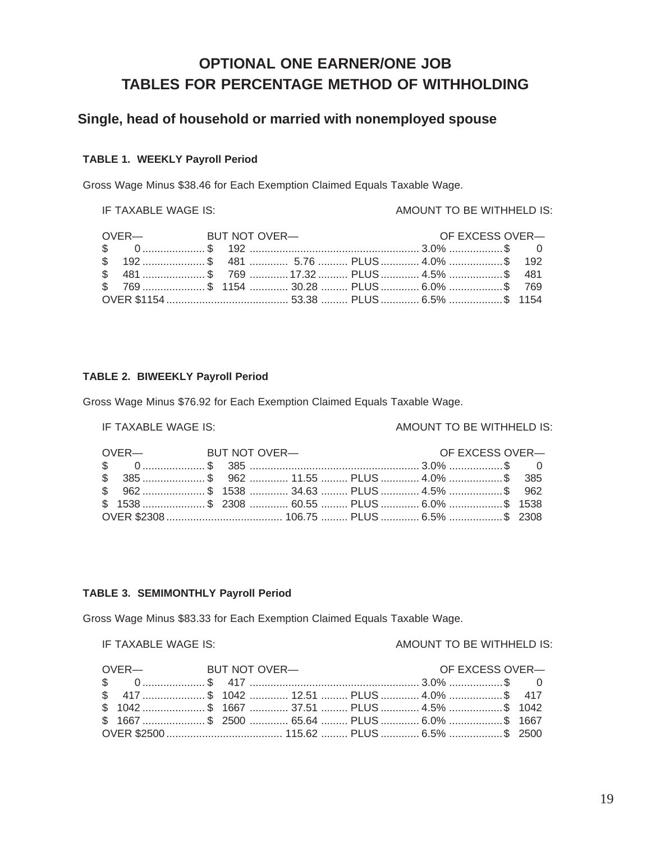## **OPTIONAL ONE EARNER/ONE JOB TABLES FOR PERCENTAGE METHOD OF WITHHOLDING**

### **Single, head of household or married with nonemployed spouse**

### **TABLE 1. WEEKLY Payroll Period**

Gross Wage Minus \$38.46 for Each Exemption Claimed Equals Taxable Wage.

### IF TAXABLE WAGE IS: AMOUNT TO BE WITHHELD IS:

| OVER-<br>BUT NOT OVER-                                                                                                                                                                                                                                                                                                                                                                                                                                                                |  |  | OF EXCESS OVER- |  |
|---------------------------------------------------------------------------------------------------------------------------------------------------------------------------------------------------------------------------------------------------------------------------------------------------------------------------------------------------------------------------------------------------------------------------------------------------------------------------------------|--|--|-----------------|--|
| $\text{\$} \qquad \text{\$} \qquad \text{\$} \qquad \text{\$} \qquad \text{\$} \qquad \text{\$} \qquad \text{\$} \qquad \text{\$} \qquad \text{\$} \qquad \text{\$} \qquad \text{\$} \qquad \text{\$} \qquad \text{\$} \qquad \text{\$} \qquad \text{\$} \qquad \text{\$} \qquad \text{\$} \qquad \text{\$} \qquad \text{\$} \qquad \text{\$} \qquad \text{\$} \qquad \text{\$} \qquad \text{\$} \qquad \text{\$} \qquad \text{\$} \qquad \text{\$} \qquad \text{\$} \qquad \text{\$$ |  |  |                 |  |
|                                                                                                                                                                                                                                                                                                                                                                                                                                                                                       |  |  |                 |  |
| \$ 481 \$ 769  17.32  PLUS  4.5% \$ 481                                                                                                                                                                                                                                                                                                                                                                                                                                               |  |  |                 |  |
| \$769 \$1154  30.28  PLUS  6.0% \$769                                                                                                                                                                                                                                                                                                                                                                                                                                                 |  |  |                 |  |
|                                                                                                                                                                                                                                                                                                                                                                                                                                                                                       |  |  |                 |  |

### **TABLE 2. BIWEEKLY Payroll Period**

Gross Wage Minus \$76.92 for Each Exemption Claimed Equals Taxable Wage.

### IF TAXABLE WAGE IS: AMOUNT TO BE WITHHELD IS:

|  | OVER-BUT NOT OVER- |                                                                        |  | OF EXCESS OVER- |  |
|--|--------------------|------------------------------------------------------------------------|--|-----------------|--|
|  |                    |                                                                        |  |                 |  |
|  |                    | \$ 385 …………………… \$ 962 …………… 11.55 ……… PLUS …………… 4.0% ………………… \$ 385  |  |                 |  |
|  |                    | \$ 962 …………………… \$ 1538 …………… 34.63 ……… PLUS …………… 4.5% ………………… \$ 962 |  |                 |  |
|  |                    |                                                                        |  |                 |  |
|  |                    |                                                                        |  |                 |  |

### **TABLE 3. SEMIMONTHLY Payroll Period**

Gross Wage Minus \$83.33 for Each Exemption Claimed Equals Taxable Wage.

IF TAXABLE WAGE IS: AMOUNT TO BE WITHHELD IS:

| OVER— BUT NOT OVER— |                                                                                                                                                                                                                                                                                                                                                                                                                                                                                       |  | OF EXCESS OVER- |  |  |
|---------------------|---------------------------------------------------------------------------------------------------------------------------------------------------------------------------------------------------------------------------------------------------------------------------------------------------------------------------------------------------------------------------------------------------------------------------------------------------------------------------------------|--|-----------------|--|--|
|                     | $\text{\$} \qquad \text{\$} \qquad \text{\$} \qquad \text{\$} \qquad \text{\$} \qquad \text{\$} \qquad \text{\$} \qquad \text{\$} \qquad \text{\$} \qquad \text{\$} \qquad \text{\$} \qquad \text{\$} \qquad \text{\$} \qquad \text{\$} \qquad \text{\$} \qquad \text{\$} \qquad \text{\$} \qquad \text{\$} \qquad \text{\$} \qquad \text{\$} \qquad \text{\$} \qquad \text{\$} \qquad \text{\$} \qquad \text{\$} \qquad \text{\$} \qquad \text{\$} \qquad \text{\$} \qquad \text{\$$ |  |                 |  |  |
|                     | \$417 \$1042  12.51  PLUS  4.0% \$417                                                                                                                                                                                                                                                                                                                                                                                                                                                 |  |                 |  |  |
|                     | \$1042 \$1667  37.51  PLUS  4.5% \$1042                                                                                                                                                                                                                                                                                                                                                                                                                                               |  |                 |  |  |
|                     | \$ 1667 …………………… \$ 2500 …………… 65.64 ……… PLUS …………… 6.0% ………………… \$ 1667                                                                                                                                                                                                                                                                                                                                                                                                              |  |                 |  |  |
|                     |                                                                                                                                                                                                                                                                                                                                                                                                                                                                                       |  |                 |  |  |